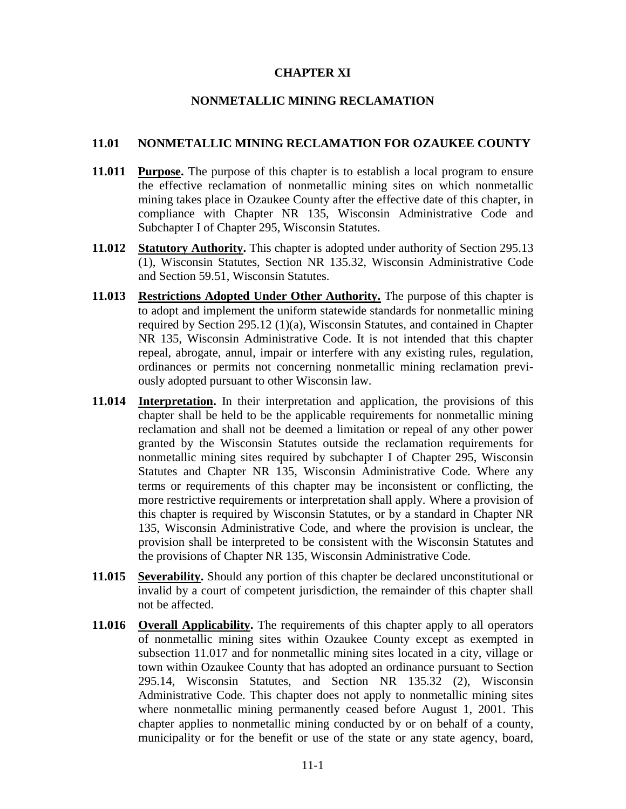### **CHAPTER XI**

### **NONMETALLIC MINING RECLAMATION**

#### **11.01 NONMETALLIC MINING RECLAMATION FOR OZAUKEE COUNTY**

- **11.011 Purpose.** The purpose of this chapter is to establish a local program to ensure the effective reclamation of nonmetallic mining sites on which nonmetallic mining takes place in Ozaukee County after the effective date of this chapter, in compliance with Chapter NR 135, Wisconsin Administrative Code and Subchapter I of Chapter 295, Wisconsin Statutes.
- **11.012 Statutory Authority.** This chapter is adopted under authority of Section 295.13 (1), Wisconsin Statutes, Section NR 135.32, Wisconsin Administrative Code and Section 59.51, Wisconsin Statutes.
- **11.013 Restrictions Adopted Under Other Authority.** The purpose of this chapter is to adopt and implement the uniform statewide standards for nonmetallic mining required by Section 295.12 (1)(a), Wisconsin Statutes, and contained in Chapter NR 135, Wisconsin Administrative Code. It is not intended that this chapter repeal, abrogate, annul, impair or interfere with any existing rules, regulation, ordinances or permits not concerning nonmetallic mining reclamation previously adopted pursuant to other Wisconsin law.
- **11.014 Interpretation.** In their interpretation and application, the provisions of this chapter shall be held to be the applicable requirements for nonmetallic mining reclamation and shall not be deemed a limitation or repeal of any other power granted by the Wisconsin Statutes outside the reclamation requirements for nonmetallic mining sites required by subchapter I of Chapter 295, Wisconsin Statutes and Chapter NR 135, Wisconsin Administrative Code. Where any terms or requirements of this chapter may be inconsistent or conflicting, the more restrictive requirements or interpretation shall apply. Where a provision of this chapter is required by Wisconsin Statutes, or by a standard in Chapter NR 135, Wisconsin Administrative Code, and where the provision is unclear, the provision shall be interpreted to be consistent with the Wisconsin Statutes and the provisions of Chapter NR 135, Wisconsin Administrative Code.
- **11.015 Severability.** Should any portion of this chapter be declared unconstitutional or invalid by a court of competent jurisdiction, the remainder of this chapter shall not be affected.
- **11.016 Overall Applicability.** The requirements of this chapter apply to all operators of nonmetallic mining sites within Ozaukee County except as exempted in subsection 11.017 and for nonmetallic mining sites located in a city, village or town within Ozaukee County that has adopted an ordinance pursuant to Section 295.14, Wisconsin Statutes, and Section NR 135.32 (2), Wisconsin Administrative Code. This chapter does not apply to nonmetallic mining sites where nonmetallic mining permanently ceased before August 1, 2001. This chapter applies to nonmetallic mining conducted by or on behalf of a county, municipality or for the benefit or use of the state or any state agency, board,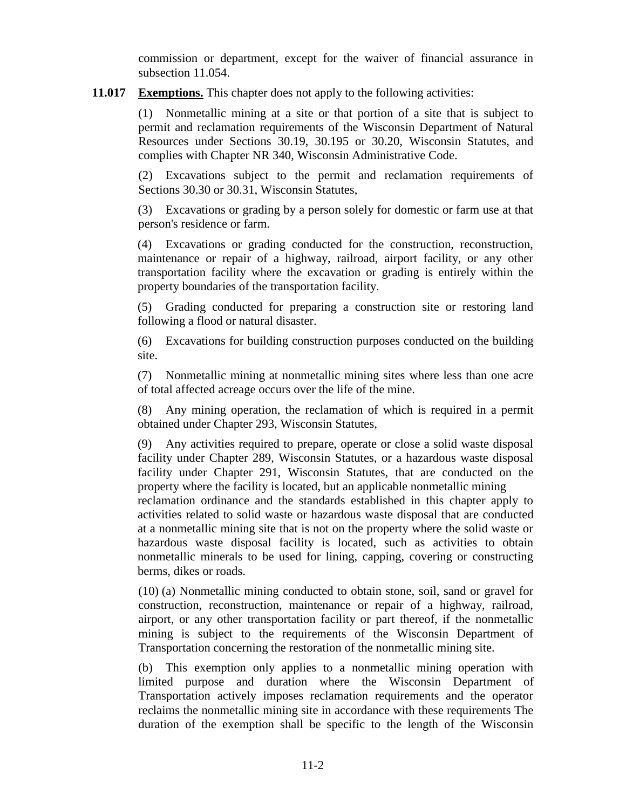commission or department, except for the waiver of financial assurance in subsection 11.054.

**11.017 Exemptions.** This chapter does not apply to the following activities:

(1) Nonmetallic mining at a site or that portion of a site that is subject to permit and reclamation requirements of the Wisconsin Department of Natural Resources under Sections 30.19, 30.195 or 30.20, Wisconsin Statutes, and complies with Chapter NR 340, Wisconsin Administrative Code.

(2) Excavations subject to the permit and reclamation requirements of Sections 30.30 or 30.31, Wisconsin Statutes,

(3) Excavations or grading by a person solely for domestic or farm use at that person's residence or farm.

(4) Excavations or grading conducted for the construction, reconstruction, maintenance or repair of a highway, railroad, airport facility, or any other transportation facility where the excavation or grading is entirely within the property boundaries of the transportation facility.

(5) Grading conducted for preparing a construction site or restoring land following a flood or natural disaster.

(6) Excavations for building construction purposes conducted on the building site.

(7) Nonmetallic mining at nonmetallic mining sites where less than one acre of total affected acreage occurs over the life of the mine.

(8) Any mining operation, the reclamation of which is required in a permit obtained under Chapter 293, Wisconsin Statutes,

(9) Any activities required to prepare, operate or close a solid waste disposal facility under Chapter 289, Wisconsin Statutes, or a hazardous waste disposal facility under Chapter 291, Wisconsin Statutes, that are conducted on the property where the facility is located, but an applicable nonmetallic mining

reclamation ordinance and the standards established in this chapter apply to activities related to solid waste or hazardous waste disposal that are conducted at a nonmetallic mining site that is not on the property where the solid waste or hazardous waste disposal facility is located, such as activities to obtain nonmetallic minerals to be used for lining, capping, covering or constructing berms, dikes or roads.

(10) (a) Nonmetallic mining conducted to obtain stone, soil, sand or gravel for construction, reconstruction, maintenance or repair of a highway, railroad, airport, or any other transportation facility or part thereof, if the nonmetallic mining is subject to the requirements of the Wisconsin Department of Transportation concerning the restoration of the nonmetallic mining site.

(b) This exemption only applies to a nonmetallic mining operation with limited purpose and duration where the Wisconsin Department of Transportation actively imposes reclamation requirements and the operator reclaims the nonmetallic mining site in accordance with these requirements The duration of the exemption shall be specific to the length of the Wisconsin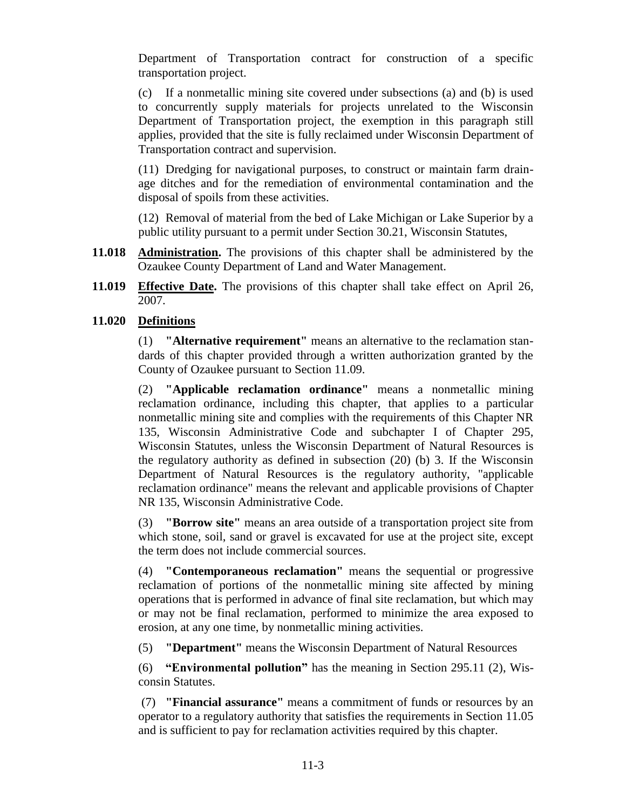Department of Transportation contract for construction of a specific transportation project.

(c) If a nonmetallic mining site covered under subsections (a) and (b) is used to concurrently supply materials for projects unrelated to the Wisconsin Department of Transportation project, the exemption in this paragraph still applies, provided that the site is fully reclaimed under Wisconsin Department of Transportation contract and supervision.

(11) Dredging for navigational purposes, to construct or maintain farm drainage ditches and for the remediation of environmental contamination and the disposal of spoils from these activities.

(12) Removal of material from the bed of Lake Michigan or Lake Superior by a public utility pursuant to a permit under Section 30.21, Wisconsin Statutes,

- **11.018 Administration.** The provisions of this chapter shall be administered by the Ozaukee County Department of Land and Water Management.
- **11.019 Effective Date.** The provisions of this chapter shall take effect on April 26, 2007.

# **11.020 Definitions**

(1) **"Alternative requirement"** means an alternative to the reclamation standards of this chapter provided through a written authorization granted by the County of Ozaukee pursuant to Section 11.09.

(2) **"Applicable reclamation ordinance"** means a nonmetallic mining reclamation ordinance, including this chapter, that applies to a particular nonmetallic mining site and complies with the requirements of this Chapter NR 135, Wisconsin Administrative Code and subchapter I of Chapter 295, Wisconsin Statutes, unless the Wisconsin Department of Natural Resources is the regulatory authority as defined in subsection (20) (b) 3. If the Wisconsin Department of Natural Resources is the regulatory authority, "applicable reclamation ordinance" means the relevant and applicable provisions of Chapter NR 135, Wisconsin Administrative Code.

(3) **"Borrow site"** means an area outside of a transportation project site from which stone, soil, sand or gravel is excavated for use at the project site, except the term does not include commercial sources.

(4) **"Contemporaneous reclamation"** means the sequential or progressive reclamation of portions of the nonmetallic mining site affected by mining operations that is performed in advance of final site reclamation, but which may or may not be final reclamation, performed to minimize the area exposed to erosion, at any one time, by nonmetallic mining activities.

(5) **"Department"** means the Wisconsin Department of Natural Resources

(6) **"Environmental pollution"** has the meaning in Section 295.11 (2), Wisconsin Statutes.

(7) **"Financial assurance"** means a commitment of funds or resources by an operator to a regulatory authority that satisfies the requirements in Section 11.05 and is sufficient to pay for reclamation activities required by this chapter.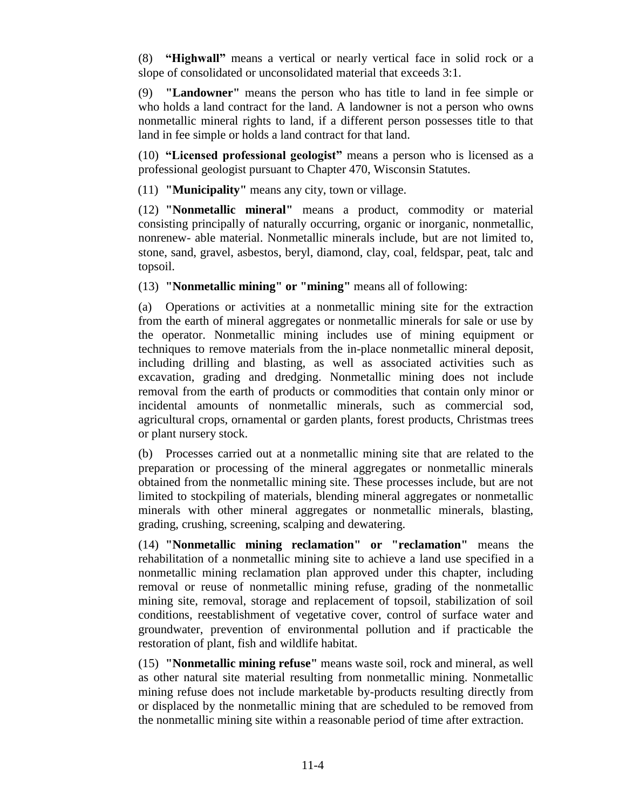(8) **"Highwall"** means a vertical or nearly vertical face in solid rock or a slope of consolidated or unconsolidated material that exceeds 3:1.

(9) **"Landowner"** means the person who has title to land in fee simple or who holds a land contract for the land. A landowner is not a person who owns nonmetallic mineral rights to land, if a different person possesses title to that land in fee simple or holds a land contract for that land.

(10) **"Licensed professional geologist"** means a person who is licensed as a professional geologist pursuant to Chapter 470, Wisconsin Statutes.

(11) **"Municipality"** means any city, town or village.

(12) **"Nonmetallic mineral"** means a product, commodity or material consisting principally of naturally occurring, organic or inorganic, nonmetallic, nonrenew- able material. Nonmetallic minerals include, but are not limited to, stone, sand, gravel, asbestos, beryl, diamond, clay, coal, feldspar, peat, talc and topsoil.

(13) **"Nonmetallic mining" or "mining"** means all of following:

(a) Operations or activities at a nonmetallic mining site for the extraction from the earth of mineral aggregates or nonmetallic minerals for sale or use by the operator. Nonmetallic mining includes use of mining equipment or techniques to remove materials from the in-place nonmetallic mineral deposit, including drilling and blasting, as well as associated activities such as excavation, grading and dredging. Nonmetallic mining does not include removal from the earth of products or commodities that contain only minor or incidental amounts of nonmetallic minerals, such as commercial sod, agricultural crops, ornamental or garden plants, forest products, Christmas trees or plant nursery stock.

(b) Processes carried out at a nonmetallic mining site that are related to the preparation or processing of the mineral aggregates or nonmetallic minerals obtained from the nonmetallic mining site. These processes include, but are not limited to stockpiling of materials, blending mineral aggregates or nonmetallic minerals with other mineral aggregates or nonmetallic minerals, blasting, grading, crushing, screening, scalping and dewatering.

(14) **"Nonmetallic mining reclamation" or "reclamation"** means the rehabilitation of a nonmetallic mining site to achieve a land use specified in a nonmetallic mining reclamation plan approved under this chapter, including removal or reuse of nonmetallic mining refuse, grading of the nonmetallic mining site, removal, storage and replacement of topsoil, stabilization of soil conditions, reestablishment of vegetative cover, control of surface water and groundwater, prevention of environmental pollution and if practicable the restoration of plant, fish and wildlife habitat.

(15) **"Nonmetallic mining refuse"** means waste soil, rock and mineral, as well as other natural site material resulting from nonmetallic mining. Nonmetallic mining refuse does not include marketable by-products resulting directly from or displaced by the nonmetallic mining that are scheduled to be removed from the nonmetallic mining site within a reasonable period of time after extraction.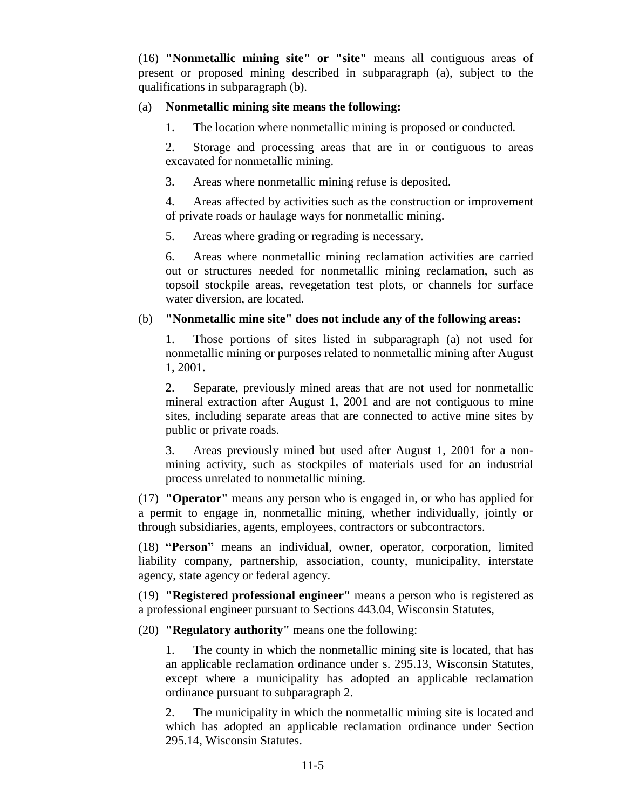(16) **"Nonmetallic mining site" or "site"** means all contiguous areas of present or proposed mining described in subparagraph (a), subject to the qualifications in subparagraph (b).

### (a) **Nonmetallic mining site means the following:**

1. The location where nonmetallic mining is proposed or conducted.

2. Storage and processing areas that are in or contiguous to areas excavated for nonmetallic mining.

3. Areas where nonmetallic mining refuse is deposited.

4. Areas affected by activities such as the construction or improvement of private roads or haulage ways for nonmetallic mining.

5. Areas where grading or regrading is necessary.

6. Areas where nonmetallic mining reclamation activities are carried out or structures needed for nonmetallic mining reclamation, such as topsoil stockpile areas, revegetation test plots, or channels for surface water diversion, are located.

### (b) **"Nonmetallic mine site" does not include any of the following areas:**

1. Those portions of sites listed in subparagraph (a) not used for nonmetallic mining or purposes related to nonmetallic mining after August 1, 2001.

2. Separate, previously mined areas that are not used for nonmetallic mineral extraction after August 1, 2001 and are not contiguous to mine sites, including separate areas that are connected to active mine sites by public or private roads.

3. Areas previously mined but used after August 1, 2001 for a nonmining activity, such as stockpiles of materials used for an industrial process unrelated to nonmetallic mining.

(17) **"Operator"** means any person who is engaged in, or who has applied for a permit to engage in, nonmetallic mining, whether individually, jointly or through subsidiaries, agents, employees, contractors or subcontractors.

(18) **"Person"** means an individual, owner, operator, corporation, limited liability company, partnership, association, county, municipality, interstate agency, state agency or federal agency.

(19) **"Registered professional engineer"** means a person who is registered as a professional engineer pursuant to Sections 443.04, Wisconsin Statutes,

(20) **"Regulatory authority"** means one the following:

1. The county in which the nonmetallic mining site is located, that has an applicable reclamation ordinance under s. 295.13, Wisconsin Statutes, except where a municipality has adopted an applicable reclamation ordinance pursuant to subparagraph 2.

2. The municipality in which the nonmetallic mining site is located and which has adopted an applicable reclamation ordinance under Section 295.14, Wisconsin Statutes.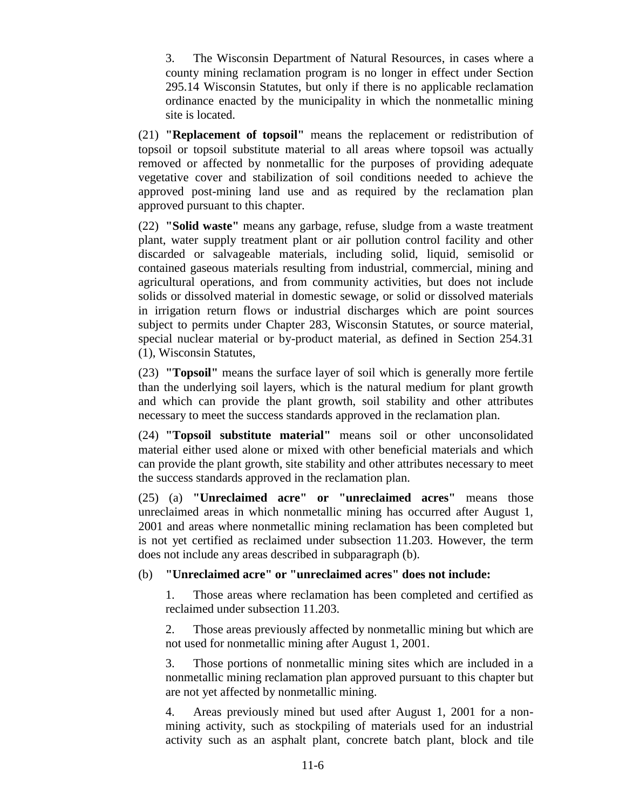3. The Wisconsin Department of Natural Resources, in cases where a county mining reclamation program is no longer in effect under Section 295.14 Wisconsin Statutes, but only if there is no applicable reclamation ordinance enacted by the municipality in which the nonmetallic mining site is located.

(21) **"Replacement of topsoil"** means the replacement or redistribution of topsoil or topsoil substitute material to all areas where topsoil was actually removed or affected by nonmetallic for the purposes of providing adequate vegetative cover and stabilization of soil conditions needed to achieve the approved post-mining land use and as required by the reclamation plan approved pursuant to this chapter.

(22) **"Solid waste"** means any garbage, refuse, sludge from a waste treatment plant, water supply treatment plant or air pollution control facility and other discarded or salvageable materials, including solid, liquid, semisolid or contained gaseous materials resulting from industrial, commercial, mining and agricultural operations, and from community activities, but does not include solids or dissolved material in domestic sewage, or solid or dissolved materials in irrigation return flows or industrial discharges which are point sources subject to permits under Chapter 283, Wisconsin Statutes, or source material, special nuclear material or by-product material, as defined in Section 254.31 (1), Wisconsin Statutes,

(23) **"Topsoil"** means the surface layer of soil which is generally more fertile than the underlying soil layers, which is the natural medium for plant growth and which can provide the plant growth, soil stability and other attributes necessary to meet the success standards approved in the reclamation plan.

(24) **"Topsoil substitute material"** means soil or other unconsolidated material either used alone or mixed with other beneficial materials and which can provide the plant growth, site stability and other attributes necessary to meet the success standards approved in the reclamation plan.

(25) (a) **"Unreclaimed acre" or "unreclaimed acres"** means those unreclaimed areas in which nonmetallic mining has occurred after August 1, 2001 and areas where nonmetallic mining reclamation has been completed but is not yet certified as reclaimed under subsection 11.203. However, the term does not include any areas described in subparagraph (b).

#### (b) **"Unreclaimed acre" or "unreclaimed acres" does not include:**

1. Those areas where reclamation has been completed and certified as reclaimed under subsection 11.203.

2. Those areas previously affected by nonmetallic mining but which are not used for nonmetallic mining after August 1, 2001.

3. Those portions of nonmetallic mining sites which are included in a nonmetallic mining reclamation plan approved pursuant to this chapter but are not yet affected by nonmetallic mining.

4. Areas previously mined but used after August 1, 2001 for a nonmining activity, such as stockpiling of materials used for an industrial activity such as an asphalt plant, concrete batch plant, block and tile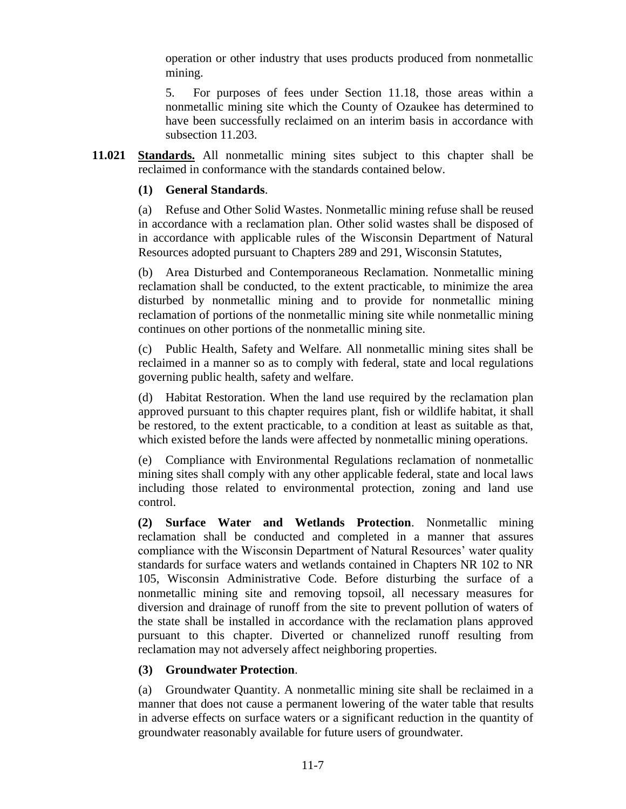operation or other industry that uses products produced from nonmetallic mining.

5. For purposes of fees under Section 11.18, those areas within a nonmetallic mining site which the County of Ozaukee has determined to have been successfully reclaimed on an interim basis in accordance with subsection 11.203.

**11.021 Standards.** All nonmetallic mining sites subject to this chapter shall be reclaimed in conformance with the standards contained below.

### **(1) General Standards**.

(a) Refuse and Other Solid Wastes. Nonmetallic mining refuse shall be reused in accordance with a reclamation plan. Other solid wastes shall be disposed of in accordance with applicable rules of the Wisconsin Department of Natural Resources adopted pursuant to Chapters 289 and 291, Wisconsin Statutes,

(b) Area Disturbed and Contemporaneous Reclamation. Nonmetallic mining reclamation shall be conducted, to the extent practicable, to minimize the area disturbed by nonmetallic mining and to provide for nonmetallic mining reclamation of portions of the nonmetallic mining site while nonmetallic mining continues on other portions of the nonmetallic mining site.

(c) Public Health, Safety and Welfare. All nonmetallic mining sites shall be reclaimed in a manner so as to comply with federal, state and local regulations governing public health, safety and welfare.

(d) Habitat Restoration. When the land use required by the reclamation plan approved pursuant to this chapter requires plant, fish or wildlife habitat, it shall be restored, to the extent practicable, to a condition at least as suitable as that, which existed before the lands were affected by nonmetallic mining operations.

(e) Compliance with Environmental Regulations reclamation of nonmetallic mining sites shall comply with any other applicable federal, state and local laws including those related to environmental protection, zoning and land use control.

**(2) Surface Water and Wetlands Protection**. Nonmetallic mining reclamation shall be conducted and completed in a manner that assures compliance with the Wisconsin Department of Natural Resources' water quality standards for surface waters and wetlands contained in Chapters NR 102 to NR 105, Wisconsin Administrative Code. Before disturbing the surface of a nonmetallic mining site and removing topsoil, all necessary measures for diversion and drainage of runoff from the site to prevent pollution of waters of the state shall be installed in accordance with the reclamation plans approved pursuant to this chapter. Diverted or channelized runoff resulting from reclamation may not adversely affect neighboring properties.

## **(3) Groundwater Protection**.

(a) Groundwater Quantity. A nonmetallic mining site shall be reclaimed in a manner that does not cause a permanent lowering of the water table that results in adverse effects on surface waters or a significant reduction in the quantity of groundwater reasonably available for future users of groundwater.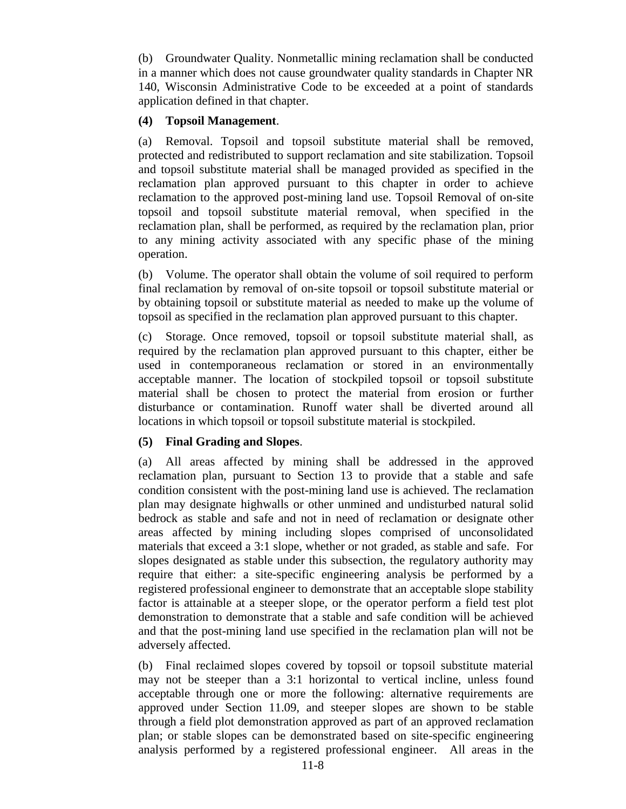(b) Groundwater Quality. Nonmetallic mining reclamation shall be conducted in a manner which does not cause groundwater quality standards in Chapter NR 140, Wisconsin Administrative Code to be exceeded at a point of standards application defined in that chapter.

### **(4) Topsoil Management**.

(a) Removal. Topsoil and topsoil substitute material shall be removed, protected and redistributed to support reclamation and site stabilization. Topsoil and topsoil substitute material shall be managed provided as specified in the reclamation plan approved pursuant to this chapter in order to achieve reclamation to the approved post-mining land use. Topsoil Removal of on-site topsoil and topsoil substitute material removal, when specified in the reclamation plan, shall be performed, as required by the reclamation plan, prior to any mining activity associated with any specific phase of the mining operation.

(b) Volume. The operator shall obtain the volume of soil required to perform final reclamation by removal of on-site topsoil or topsoil substitute material or by obtaining topsoil or substitute material as needed to make up the volume of topsoil as specified in the reclamation plan approved pursuant to this chapter.

(c) Storage. Once removed, topsoil or topsoil substitute material shall, as required by the reclamation plan approved pursuant to this chapter, either be used in contemporaneous reclamation or stored in an environmentally acceptable manner. The location of stockpiled topsoil or topsoil substitute material shall be chosen to protect the material from erosion or further disturbance or contamination. Runoff water shall be diverted around all locations in which topsoil or topsoil substitute material is stockpiled.

## **(5) Final Grading and Slopes**.

(a) All areas affected by mining shall be addressed in the approved reclamation plan, pursuant to Section 13 to provide that a stable and safe condition consistent with the post-mining land use is achieved. The reclamation plan may designate highwalls or other unmined and undisturbed natural solid bedrock as stable and safe and not in need of reclamation or designate other areas affected by mining including slopes comprised of unconsolidated materials that exceed a 3:1 slope, whether or not graded, as stable and safe. For slopes designated as stable under this subsection, the regulatory authority may require that either: a site-specific engineering analysis be performed by a registered professional engineer to demonstrate that an acceptable slope stability factor is attainable at a steeper slope, or the operator perform a field test plot demonstration to demonstrate that a stable and safe condition will be achieved and that the post-mining land use specified in the reclamation plan will not be adversely affected.

(b) Final reclaimed slopes covered by topsoil or topsoil substitute material may not be steeper than a 3:1 horizontal to vertical incline, unless found acceptable through one or more the following: alternative requirements are approved under Section 11.09, and steeper slopes are shown to be stable through a field plot demonstration approved as part of an approved reclamation plan; or stable slopes can be demonstrated based on site-specific engineering analysis performed by a registered professional engineer. All areas in the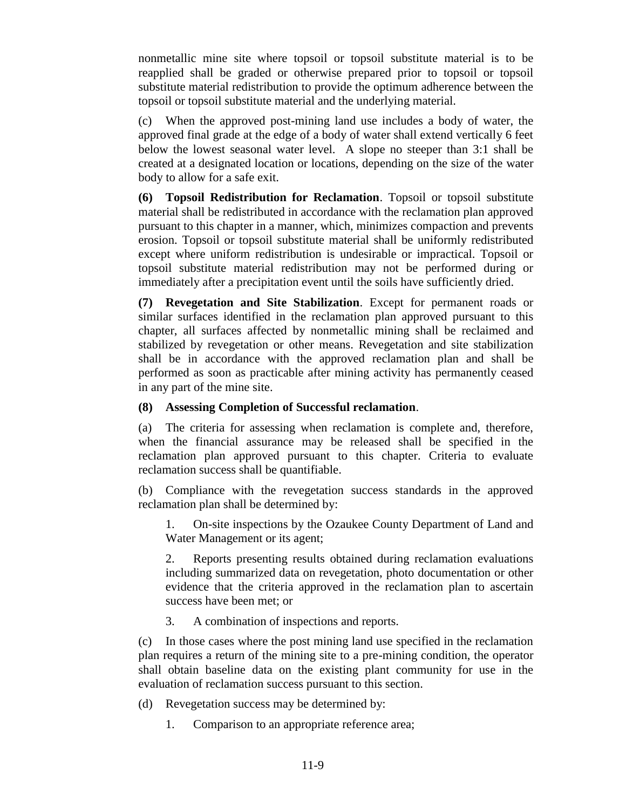nonmetallic mine site where topsoil or topsoil substitute material is to be reapplied shall be graded or otherwise prepared prior to topsoil or topsoil substitute material redistribution to provide the optimum adherence between the topsoil or topsoil substitute material and the underlying material.

(c) When the approved post-mining land use includes a body of water, the approved final grade at the edge of a body of water shall extend vertically 6 feet below the lowest seasonal water level. A slope no steeper than 3:1 shall be created at a designated location or locations, depending on the size of the water body to allow for a safe exit.

**(6) Topsoil Redistribution for Reclamation**. Topsoil or topsoil substitute material shall be redistributed in accordance with the reclamation plan approved pursuant to this chapter in a manner, which, minimizes compaction and prevents erosion. Topsoil or topsoil substitute material shall be uniformly redistributed except where uniform redistribution is undesirable or impractical. Topsoil or topsoil substitute material redistribution may not be performed during or immediately after a precipitation event until the soils have sufficiently dried.

**(7) Revegetation and Site Stabilization**. Except for permanent roads or similar surfaces identified in the reclamation plan approved pursuant to this chapter, all surfaces affected by nonmetallic mining shall be reclaimed and stabilized by revegetation or other means. Revegetation and site stabilization shall be in accordance with the approved reclamation plan and shall be performed as soon as practicable after mining activity has permanently ceased in any part of the mine site.

### **(8) Assessing Completion of Successful reclamation**.

(a) The criteria for assessing when reclamation is complete and, therefore, when the financial assurance may be released shall be specified in the reclamation plan approved pursuant to this chapter. Criteria to evaluate reclamation success shall be quantifiable.

(b) Compliance with the revegetation success standards in the approved reclamation plan shall be determined by:

1. On-site inspections by the Ozaukee County Department of Land and Water Management or its agent;

2. Reports presenting results obtained during reclamation evaluations including summarized data on revegetation, photo documentation or other evidence that the criteria approved in the reclamation plan to ascertain success have been met; or

3. A combination of inspections and reports.

(c) In those cases where the post mining land use specified in the reclamation plan requires a return of the mining site to a pre-mining condition, the operator shall obtain baseline data on the existing plant community for use in the evaluation of reclamation success pursuant to this section.

- (d) Revegetation success may be determined by:
	- 1. Comparison to an appropriate reference area;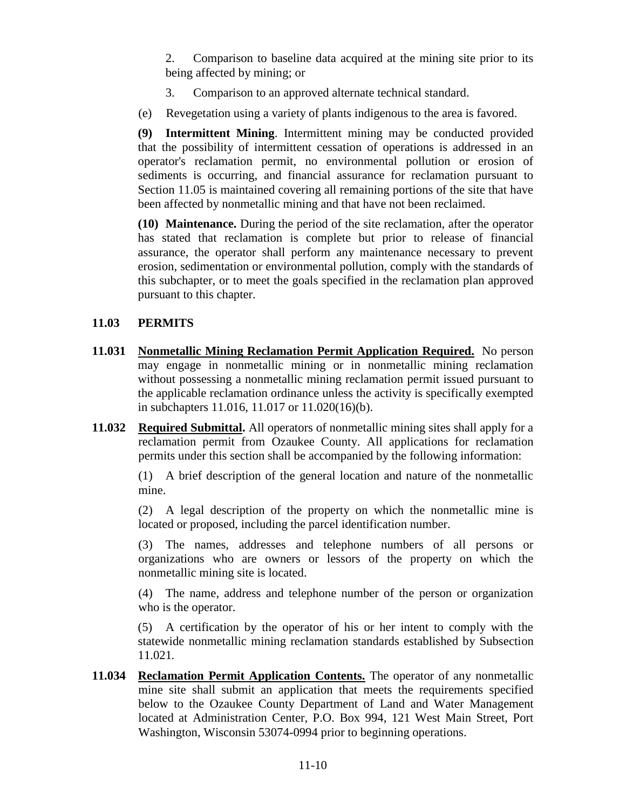2. Comparison to baseline data acquired at the mining site prior to its being affected by mining; or

- 3. Comparison to an approved alternate technical standard.
- (e) Revegetation using a variety of plants indigenous to the area is favored.

**(9) Intermittent Mining**. Intermittent mining may be conducted provided that the possibility of intermittent cessation of operations is addressed in an operator's reclamation permit, no environmental pollution or erosion of sediments is occurring, and financial assurance for reclamation pursuant to Section 11.05 is maintained covering all remaining portions of the site that have been affected by nonmetallic mining and that have not been reclaimed.

**(10) Maintenance.** During the period of the site reclamation, after the operator has stated that reclamation is complete but prior to release of financial assurance, the operator shall perform any maintenance necessary to prevent erosion, sedimentation or environmental pollution, comply with the standards of this subchapter, or to meet the goals specified in the reclamation plan approved pursuant to this chapter.

# **11.03 PERMITS**

- **11.031 Nonmetallic Mining Reclamation Permit Application Required.** No person may engage in nonmetallic mining or in nonmetallic mining reclamation without possessing a nonmetallic mining reclamation permit issued pursuant to the applicable reclamation ordinance unless the activity is specifically exempted in subchapters 11.016, 11.017 or 11.020(16)(b).
- **11.032 Required Submittal.** All operators of nonmetallic mining sites shall apply for a reclamation permit from Ozaukee County. All applications for reclamation permits under this section shall be accompanied by the following information:

(1) A brief description of the general location and nature of the nonmetallic mine.

(2) A legal description of the property on which the nonmetallic mine is located or proposed, including the parcel identification number.

(3) The names, addresses and telephone numbers of all persons or organizations who are owners or lessors of the property on which the nonmetallic mining site is located.

(4) The name, address and telephone number of the person or organization who is the operator.

(5) A certification by the operator of his or her intent to comply with the statewide nonmetallic mining reclamation standards established by Subsection 11.021*.* 

**11.034 Reclamation Permit Application Contents.** The operator of any nonmetallic mine site shall submit an application that meets the requirements specified below to the Ozaukee County Department of Land and Water Management located at Administration Center, P.O. Box 994, 121 West Main Street, Port Washington, Wisconsin 53074-0994 prior to beginning operations.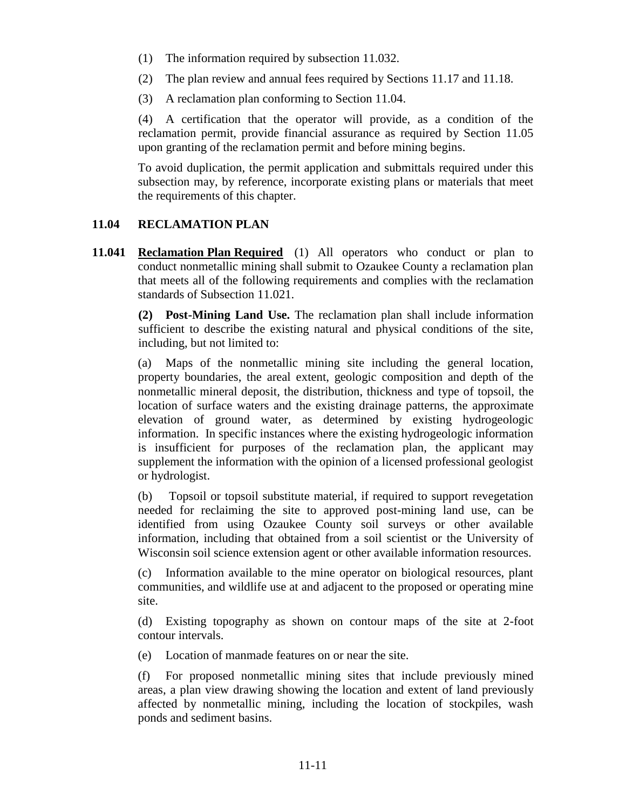- (1) The information required by subsection 11.032.
- (2) The plan review and annual fees required by Sections 11.17 and 11.18.
- (3) A reclamation plan conforming to Section 11.04.

(4) A certification that the operator will provide, as a condition of the reclamation permit, provide financial assurance as required by Section 11.05 upon granting of the reclamation permit and before mining begins.

To avoid duplication, the permit application and submittals required under this subsection may, by reference, incorporate existing plans or materials that meet the requirements of this chapter.

### **11.04 RECLAMATION PLAN**

**11.041 Reclamation Plan Required** (1) All operators who conduct or plan to conduct nonmetallic mining shall submit to Ozaukee County a reclamation plan that meets all of the following requirements and complies with the reclamation standards of Subsection 11.021.

> **(2) Post-Mining Land Use.** The reclamation plan shall include information sufficient to describe the existing natural and physical conditions of the site, including, but not limited to:

> (a) Maps of the nonmetallic mining site including the general location, property boundaries, the areal extent, geologic composition and depth of the nonmetallic mineral deposit, the distribution, thickness and type of topsoil, the location of surface waters and the existing drainage patterns, the approximate elevation of ground water, as determined by existing hydrogeologic information. In specific instances where the existing hydrogeologic information is insufficient for purposes of the reclamation plan, the applicant may supplement the information with the opinion of a licensed professional geologist or hydrologist.

> (b) Topsoil or topsoil substitute material, if required to support revegetation needed for reclaiming the site to approved post-mining land use, can be identified from using Ozaukee County soil surveys or other available information, including that obtained from a soil scientist or the University of Wisconsin soil science extension agent or other available information resources.

> (c) Information available to the mine operator on biological resources, plant communities, and wildlife use at and adjacent to the proposed or operating mine site.

> (d) Existing topography as shown on contour maps of the site at 2-foot contour intervals.

(e) Location of manmade features on or near the site.

(f) For proposed nonmetallic mining sites that include previously mined areas, a plan view drawing showing the location and extent of land previously affected by nonmetallic mining, including the location of stockpiles, wash ponds and sediment basins.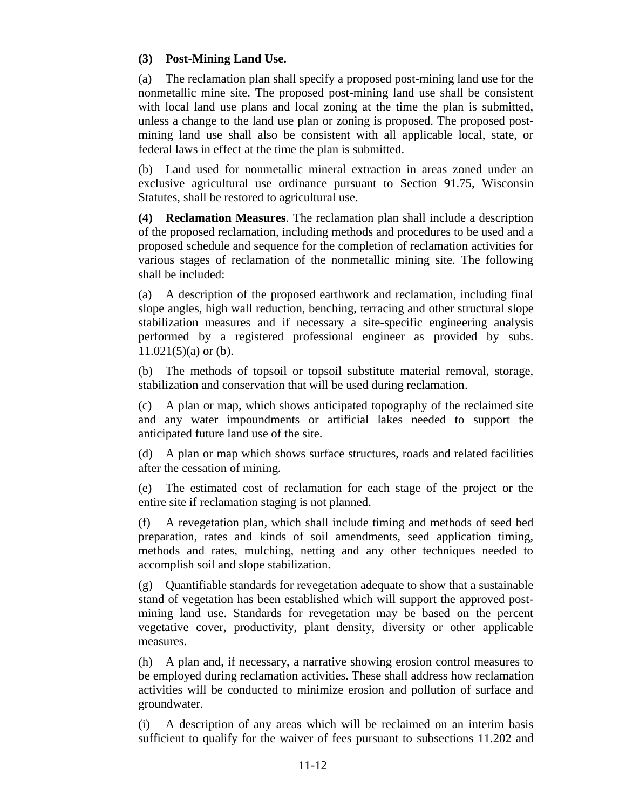### **(3) Post-Mining Land Use.**

(a) The reclamation plan shall specify a proposed post-mining land use for the nonmetallic mine site. The proposed post-mining land use shall be consistent with local land use plans and local zoning at the time the plan is submitted, unless a change to the land use plan or zoning is proposed. The proposed postmining land use shall also be consistent with all applicable local, state, or federal laws in effect at the time the plan is submitted.

(b) Land used for nonmetallic mineral extraction in areas zoned under an exclusive agricultural use ordinance pursuant to Section 91.75, Wisconsin Statutes, shall be restored to agricultural use.

**(4) Reclamation Measures**. The reclamation plan shall include a description of the proposed reclamation, including methods and procedures to be used and a proposed schedule and sequence for the completion of reclamation activities for various stages of reclamation of the nonmetallic mining site. The following shall be included:

(a) A description of the proposed earthwork and reclamation, including final slope angles, high wall reduction, benching, terracing and other structural slope stabilization measures and if necessary a site-specific engineering analysis performed by a registered professional engineer as provided by subs.  $11.021(5)$ (a) or (b).

(b) The methods of topsoil or topsoil substitute material removal, storage, stabilization and conservation that will be used during reclamation.

(c) A plan or map, which shows anticipated topography of the reclaimed site and any water impoundments or artificial lakes needed to support the anticipated future land use of the site.

(d) A plan or map which shows surface structures, roads and related facilities after the cessation of mining.

(e) The estimated cost of reclamation for each stage of the project or the entire site if reclamation staging is not planned.

(f) A revegetation plan, which shall include timing and methods of seed bed preparation, rates and kinds of soil amendments, seed application timing, methods and rates, mulching, netting and any other techniques needed to accomplish soil and slope stabilization.

(g) Quantifiable standards for revegetation adequate to show that a sustainable stand of vegetation has been established which will support the approved postmining land use. Standards for revegetation may be based on the percent vegetative cover, productivity, plant density, diversity or other applicable measures.

(h) A plan and, if necessary, a narrative showing erosion control measures to be employed during reclamation activities. These shall address how reclamation activities will be conducted to minimize erosion and pollution of surface and groundwater.

(i) A description of any areas which will be reclaimed on an interim basis sufficient to qualify for the waiver of fees pursuant to subsections 11.202 and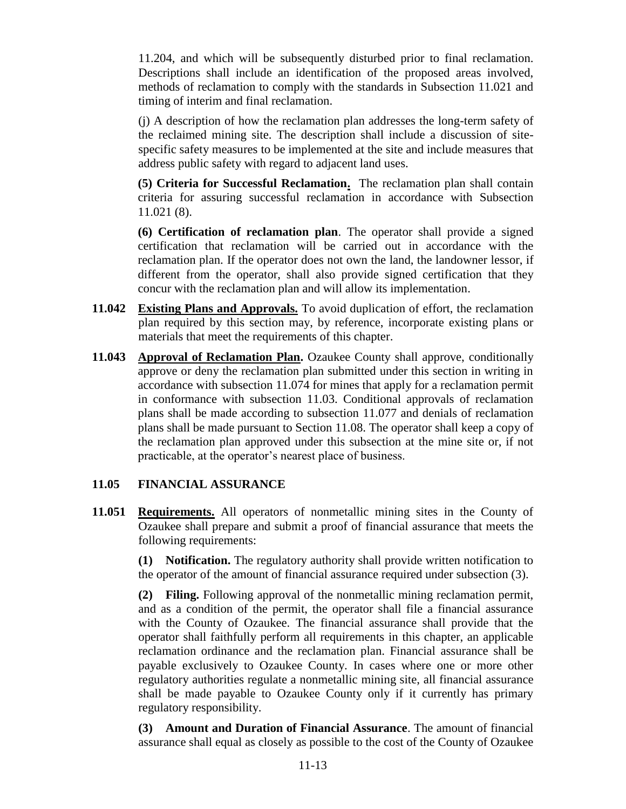11.204, and which will be subsequently disturbed prior to final reclamation. Descriptions shall include an identification of the proposed areas involved, methods of reclamation to comply with the standards in Subsection 11.021 and timing of interim and final reclamation.

(j) A description of how the reclamation plan addresses the long-term safety of the reclaimed mining site. The description shall include a discussion of sitespecific safety measures to be implemented at the site and include measures that address public safety with regard to adjacent land uses.

**(5) Criteria for Successful Reclamation.** The reclamation plan shall contain criteria for assuring successful reclamation in accordance with Subsection 11.021 (8).

**(6) Certification of reclamation plan**. The operator shall provide a signed certification that reclamation will be carried out in accordance with the reclamation plan. If the operator does not own the land, the landowner lessor, if different from the operator, shall also provide signed certification that they concur with the reclamation plan and will allow its implementation.

- **11.042 Existing Plans and Approvals.** To avoid duplication of effort, the reclamation plan required by this section may, by reference, incorporate existing plans or materials that meet the requirements of this chapter.
- **11.043 Approval of Reclamation Plan.** Ozaukee County shall approve, conditionally approve or deny the reclamation plan submitted under this section in writing in accordance with subsection 11.074 for mines that apply for a reclamation permit in conformance with subsection 11.03. Conditional approvals of reclamation plans shall be made according to subsection 11.077 and denials of reclamation plans shall be made pursuant to Section 11.08. The operator shall keep a copy of the reclamation plan approved under this subsection at the mine site or, if not practicable, at the operator's nearest place of business.

## **11.05 FINANCIAL ASSURANCE**

**11.051 Requirements.** All operators of nonmetallic mining sites in the County of Ozaukee shall prepare and submit a proof of financial assurance that meets the following requirements:

> **(1) Notification.** The regulatory authority shall provide written notification to the operator of the amount of financial assurance required under subsection (3).

> **(2) Filing.** Following approval of the nonmetallic mining reclamation permit, and as a condition of the permit, the operator shall file a financial assurance with the County of Ozaukee. The financial assurance shall provide that the operator shall faithfully perform all requirements in this chapter, an applicable reclamation ordinance and the reclamation plan. Financial assurance shall be payable exclusively to Ozaukee County. In cases where one or more other regulatory authorities regulate a nonmetallic mining site, all financial assurance shall be made payable to Ozaukee County only if it currently has primary regulatory responsibility.

> **(3) Amount and Duration of Financial Assurance**. The amount of financial assurance shall equal as closely as possible to the cost of the County of Ozaukee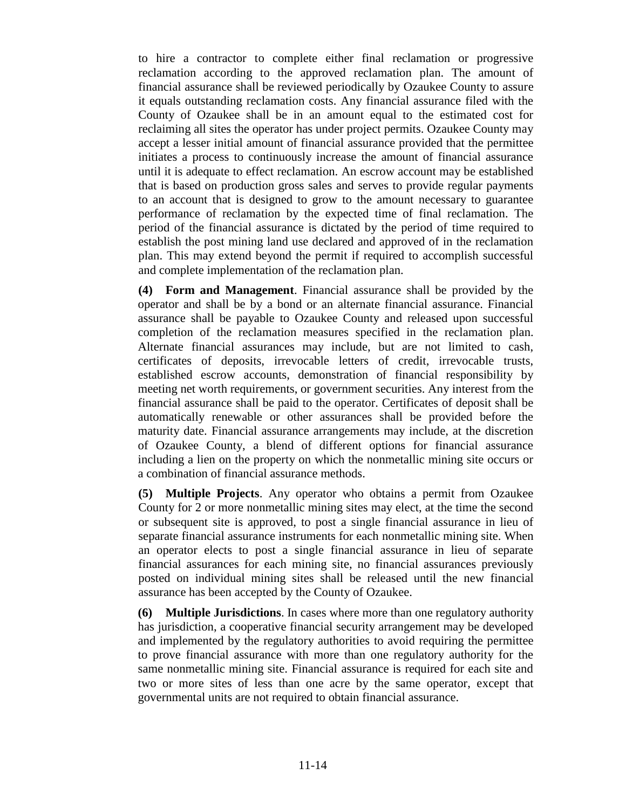to hire a contractor to complete either final reclamation or progressive reclamation according to the approved reclamation plan. The amount of financial assurance shall be reviewed periodically by Ozaukee County to assure it equals outstanding reclamation costs. Any financial assurance filed with the County of Ozaukee shall be in an amount equal to the estimated cost for reclaiming all sites the operator has under project permits. Ozaukee County may accept a lesser initial amount of financial assurance provided that the permittee initiates a process to continuously increase the amount of financial assurance until it is adequate to effect reclamation. An escrow account may be established that is based on production gross sales and serves to provide regular payments to an account that is designed to grow to the amount necessary to guarantee performance of reclamation by the expected time of final reclamation. The period of the financial assurance is dictated by the period of time required to establish the post mining land use declared and approved of in the reclamation plan. This may extend beyond the permit if required to accomplish successful and complete implementation of the reclamation plan.

**(4) Form and Management**. Financial assurance shall be provided by the operator and shall be by a bond or an alternate financial assurance. Financial assurance shall be payable to Ozaukee County and released upon successful completion of the reclamation measures specified in the reclamation plan. Alternate financial assurances may include, but are not limited to cash, certificates of deposits, irrevocable letters of credit, irrevocable trusts, established escrow accounts, demonstration of financial responsibility by meeting net worth requirements, or government securities. Any interest from the financial assurance shall be paid to the operator. Certificates of deposit shall be automatically renewable or other assurances shall be provided before the maturity date. Financial assurance arrangements may include, at the discretion of Ozaukee County, a blend of different options for financial assurance including a lien on the property on which the nonmetallic mining site occurs or a combination of financial assurance methods.

**(5) Multiple Projects**. Any operator who obtains a permit from Ozaukee County for 2 or more nonmetallic mining sites may elect, at the time the second or subsequent site is approved, to post a single financial assurance in lieu of separate financial assurance instruments for each nonmetallic mining site. When an operator elects to post a single financial assurance in lieu of separate financial assurances for each mining site, no financial assurances previously posted on individual mining sites shall be released until the new financial assurance has been accepted by the County of Ozaukee.

**(6) Multiple Jurisdictions**. In cases where more than one regulatory authority has jurisdiction, a cooperative financial security arrangement may be developed and implemented by the regulatory authorities to avoid requiring the permittee to prove financial assurance with more than one regulatory authority for the same nonmetallic mining site. Financial assurance is required for each site and two or more sites of less than one acre by the same operator, except that governmental units are not required to obtain financial assurance.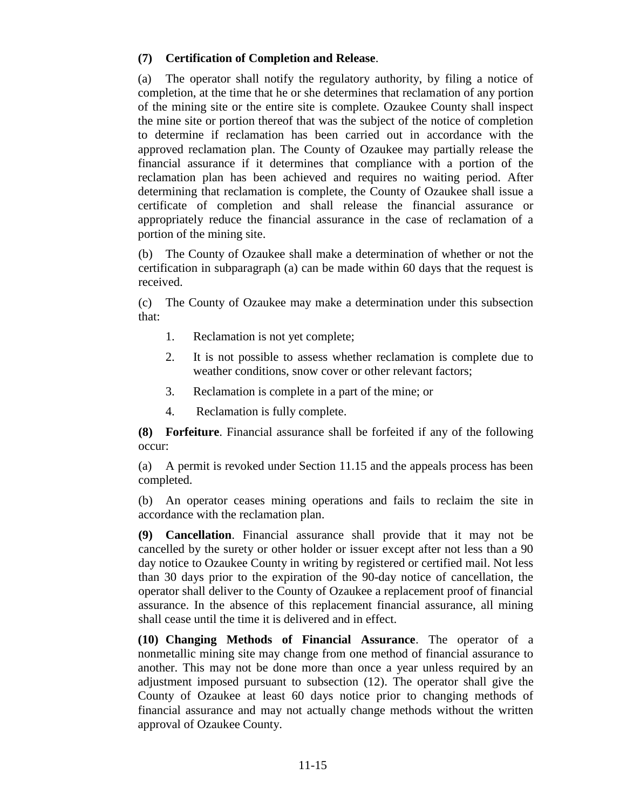## **(7) Certification of Completion and Release**.

(a) The operator shall notify the regulatory authority, by filing a notice of completion, at the time that he or she determines that reclamation of any portion of the mining site or the entire site is complete. Ozaukee County shall inspect the mine site or portion thereof that was the subject of the notice of completion to determine if reclamation has been carried out in accordance with the approved reclamation plan. The County of Ozaukee may partially release the financial assurance if it determines that compliance with a portion of the reclamation plan has been achieved and requires no waiting period. After determining that reclamation is complete, the County of Ozaukee shall issue a certificate of completion and shall release the financial assurance or appropriately reduce the financial assurance in the case of reclamation of a portion of the mining site.

(b) The County of Ozaukee shall make a determination of whether or not the certification in subparagraph (a) can be made within 60 days that the request is received.

(c) The County of Ozaukee may make a determination under this subsection that:

- 1. Reclamation is not yet complete;
- 2. It is not possible to assess whether reclamation is complete due to weather conditions, snow cover or other relevant factors;
- 3. Reclamation is complete in a part of the mine; or
- 4. Reclamation is fully complete.

**(8) Forfeiture**. Financial assurance shall be forfeited if any of the following occur:

(a) A permit is revoked under Section 11.15 and the appeals process has been completed.

(b) An operator ceases mining operations and fails to reclaim the site in accordance with the reclamation plan.

**(9) Cancellation**. Financial assurance shall provide that it may not be cancelled by the surety or other holder or issuer except after not less than a 90 day notice to Ozaukee County in writing by registered or certified mail. Not less than 30 days prior to the expiration of the 90-day notice of cancellation, the operator shall deliver to the County of Ozaukee a replacement proof of financial assurance. In the absence of this replacement financial assurance, all mining shall cease until the time it is delivered and in effect.

**(10) Changing Methods of Financial Assurance**. The operator of a nonmetallic mining site may change from one method of financial assurance to another. This may not be done more than once a year unless required by an adjustment imposed pursuant to subsection (12). The operator shall give the County of Ozaukee at least 60 days notice prior to changing methods of financial assurance and may not actually change methods without the written approval of Ozaukee County.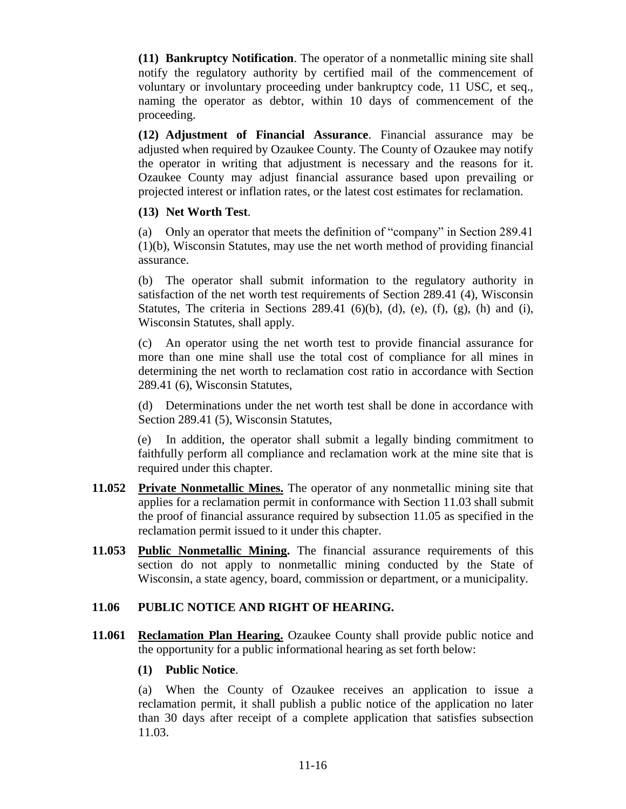**(11) Bankruptcy Notification**. The operator of a nonmetallic mining site shall notify the regulatory authority by certified mail of the commencement of voluntary or involuntary proceeding under bankruptcy code, 11 USC, et seq., naming the operator as debtor, within 10 days of commencement of the proceeding.

**(12) Adjustment of Financial Assurance**. Financial assurance may be adjusted when required by Ozaukee County. The County of Ozaukee may notify the operator in writing that adjustment is necessary and the reasons for it. Ozaukee County may adjust financial assurance based upon prevailing or projected interest or inflation rates, or the latest cost estimates for reclamation.

### **(13) Net Worth Test**.

(a) Only an operator that meets the definition of "company" in Section 289.41 (1)(b), Wisconsin Statutes, may use the net worth method of providing financial assurance.

(b) The operator shall submit information to the regulatory authority in satisfaction of the net worth test requirements of Section 289.41 (4), Wisconsin Statutes, The criteria in Sections 289.41 (6)(b), (d), (e), (f), (g), (h) and (i), Wisconsin Statutes, shall apply.

(c) An operator using the net worth test to provide financial assurance for more than one mine shall use the total cost of compliance for all mines in determining the net worth to reclamation cost ratio in accordance with Section 289.41 (6), Wisconsin Statutes,

(d) Determinations under the net worth test shall be done in accordance with Section 289.41 (5), Wisconsin Statutes,

(e) In addition, the operator shall submit a legally binding commitment to faithfully perform all compliance and reclamation work at the mine site that is required under this chapter.

- **11.052 Private Nonmetallic Mines.** The operator of any nonmetallic mining site that applies for a reclamation permit in conformance with Section 11.03 shall submit the proof of financial assurance required by subsection 11.05 as specified in the reclamation permit issued to it under this chapter.
- **11.053 Public Nonmetallic Mining.** The financial assurance requirements of this section do not apply to nonmetallic mining conducted by the State of Wisconsin, a state agency, board, commission or department, or a municipality.

## **11.06 PUBLIC NOTICE AND RIGHT OF HEARING.**

**11.061 Reclamation Plan Hearing.** Ozaukee County shall provide public notice and the opportunity for a public informational hearing as set forth below:

#### **(1) Public Notice**.

(a) When the County of Ozaukee receives an application to issue a reclamation permit, it shall publish a public notice of the application no later than 30 days after receipt of a complete application that satisfies subsection 11.03.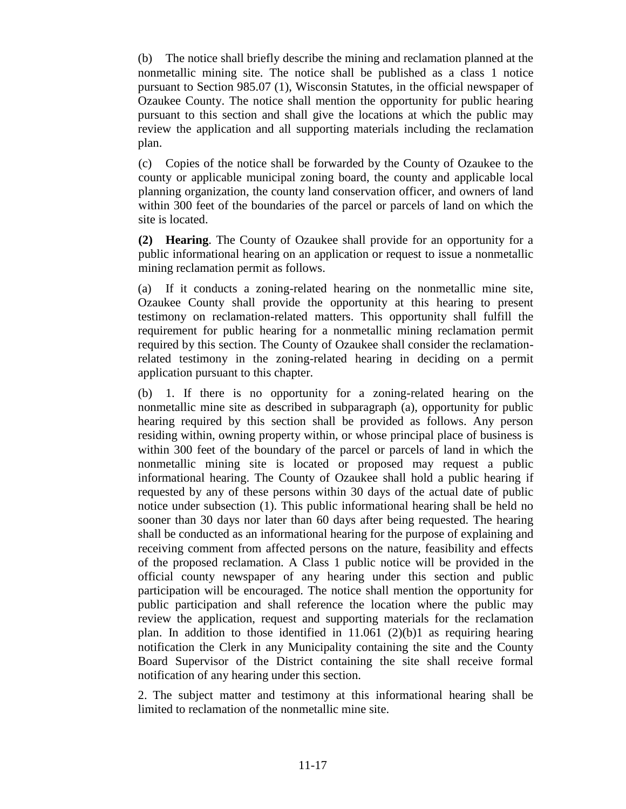(b) The notice shall briefly describe the mining and reclamation planned at the nonmetallic mining site. The notice shall be published as a class 1 notice pursuant to Section 985.07 (1), Wisconsin Statutes, in the official newspaper of Ozaukee County. The notice shall mention the opportunity for public hearing pursuant to this section and shall give the locations at which the public may review the application and all supporting materials including the reclamation plan.

(c) Copies of the notice shall be forwarded by the County of Ozaukee to the county or applicable municipal zoning board, the county and applicable local planning organization, the county land conservation officer, and owners of land within 300 feet of the boundaries of the parcel or parcels of land on which the site is located.

**(2) Hearing**. The County of Ozaukee shall provide for an opportunity for a public informational hearing on an application or request to issue a nonmetallic mining reclamation permit as follows.

(a) If it conducts a zoning-related hearing on the nonmetallic mine site, Ozaukee County shall provide the opportunity at this hearing to present testimony on reclamation-related matters. This opportunity shall fulfill the requirement for public hearing for a nonmetallic mining reclamation permit required by this section. The County of Ozaukee shall consider the reclamationrelated testimony in the zoning-related hearing in deciding on a permit application pursuant to this chapter.

(b) 1. If there is no opportunity for a zoning-related hearing on the nonmetallic mine site as described in subparagraph (a), opportunity for public hearing required by this section shall be provided as follows. Any person residing within, owning property within, or whose principal place of business is within 300 feet of the boundary of the parcel or parcels of land in which the nonmetallic mining site is located or proposed may request a public informational hearing. The County of Ozaukee shall hold a public hearing if requested by any of these persons within 30 days of the actual date of public notice under subsection (1). This public informational hearing shall be held no sooner than 30 days nor later than 60 days after being requested. The hearing shall be conducted as an informational hearing for the purpose of explaining and receiving comment from affected persons on the nature, feasibility and effects of the proposed reclamation. A Class 1 public notice will be provided in the official county newspaper of any hearing under this section and public participation will be encouraged. The notice shall mention the opportunity for public participation and shall reference the location where the public may review the application, request and supporting materials for the reclamation plan. In addition to those identified in  $11.061$  (2)(b)1 as requiring hearing notification the Clerk in any Municipality containing the site and the County Board Supervisor of the District containing the site shall receive formal notification of any hearing under this section.

 2. The subject matter and testimony at this informational hearing shall be limited to reclamation of the nonmetallic mine site.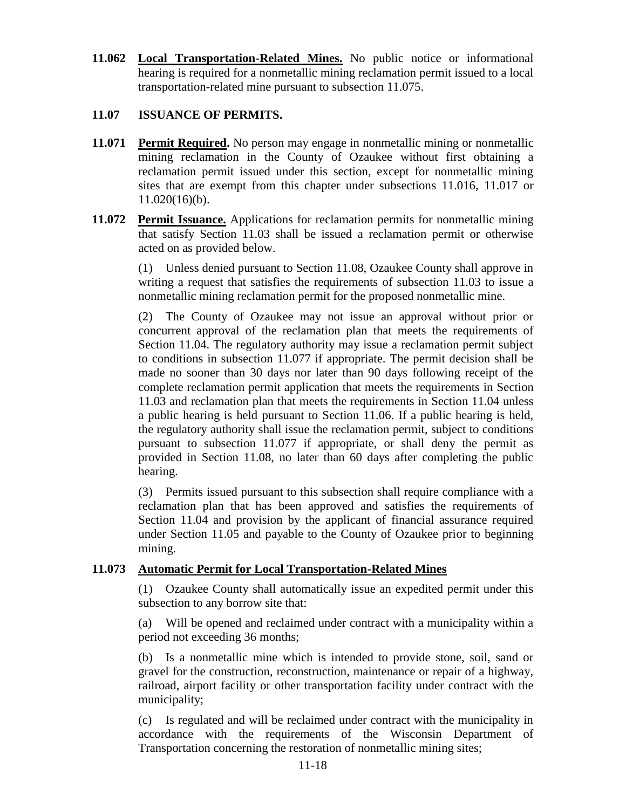**11.062 Local Transportation-Related Mines.** No public notice or informational hearing is required for a nonmetallic mining reclamation permit issued to a local transportation-related mine pursuant to subsection 11.075.

## **11.07 ISSUANCE OF PERMITS.**

- **11.071 Permit Required.** No person may engage in nonmetallic mining or nonmetallic mining reclamation in the County of Ozaukee without first obtaining a reclamation permit issued under this section, except for nonmetallic mining sites that are exempt from this chapter under subsections 11.016, 11.017 or 11.020(16)(b).
- **11.072 Permit Issuance.** Applications for reclamation permits for nonmetallic mining that satisfy Section 11.03 shall be issued a reclamation permit or otherwise acted on as provided below.

(1) Unless denied pursuant to Section 11.08, Ozaukee County shall approve in writing a request that satisfies the requirements of subsection 11.03 to issue a nonmetallic mining reclamation permit for the proposed nonmetallic mine.

(2) The County of Ozaukee may not issue an approval without prior or concurrent approval of the reclamation plan that meets the requirements of Section 11.04. The regulatory authority may issue a reclamation permit subject to conditions in subsection 11.077 if appropriate. The permit decision shall be made no sooner than 30 days nor later than 90 days following receipt of the complete reclamation permit application that meets the requirements in Section 11.03 and reclamation plan that meets the requirements in Section 11.04 unless a public hearing is held pursuant to Section 11.06. If a public hearing is held, the regulatory authority shall issue the reclamation permit, subject to conditions pursuant to subsection 11.077 if appropriate, or shall deny the permit as provided in Section 11.08, no later than 60 days after completing the public hearing.

(3) Permits issued pursuant to this subsection shall require compliance with a reclamation plan that has been approved and satisfies the requirements of Section 11.04 and provision by the applicant of financial assurance required under Section 11.05 and payable to the County of Ozaukee prior to beginning mining.

## **11.073 Automatic Permit for Local Transportation-Related Mines**

(1) Ozaukee County shall automatically issue an expedited permit under this subsection to any borrow site that:

(a) Will be opened and reclaimed under contract with a municipality within a period not exceeding 36 months;

(b) Is a nonmetallic mine which is intended to provide stone, soil, sand or gravel for the construction, reconstruction, maintenance or repair of a highway, railroad, airport facility or other transportation facility under contract with the municipality;

(c) Is regulated and will be reclaimed under contract with the municipality in accordance with the requirements of the Wisconsin Department of Transportation concerning the restoration of nonmetallic mining sites;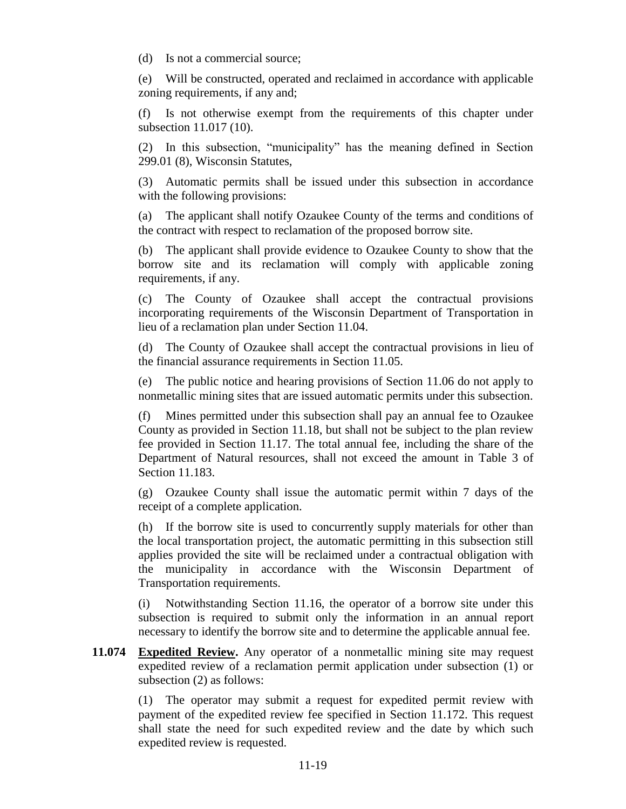(d) Is not a commercial source;

(e) Will be constructed, operated and reclaimed in accordance with applicable zoning requirements, if any and;

(f) Is not otherwise exempt from the requirements of this chapter under subsection 11.017 (10).

(2) In this subsection, "municipality" has the meaning defined in Section 299.01 (8), Wisconsin Statutes,

(3) Automatic permits shall be issued under this subsection in accordance with the following provisions:

(a) The applicant shall notify Ozaukee County of the terms and conditions of the contract with respect to reclamation of the proposed borrow site.

(b) The applicant shall provide evidence to Ozaukee County to show that the borrow site and its reclamation will comply with applicable zoning requirements, if any.

(c) The County of Ozaukee shall accept the contractual provisions incorporating requirements of the Wisconsin Department of Transportation in lieu of a reclamation plan under Section 11.04.

(d) The County of Ozaukee shall accept the contractual provisions in lieu of the financial assurance requirements in Section 11.05.

(e) The public notice and hearing provisions of Section 11.06 do not apply to nonmetallic mining sites that are issued automatic permits under this subsection.

(f) Mines permitted under this subsection shall pay an annual fee to Ozaukee County as provided in Section 11.18, but shall not be subject to the plan review fee provided in Section 11.17. The total annual fee, including the share of the Department of Natural resources, shall not exceed the amount in Table 3 of Section 11.183.

(g) Ozaukee County shall issue the automatic permit within 7 days of the receipt of a complete application.

(h) If the borrow site is used to concurrently supply materials for other than the local transportation project, the automatic permitting in this subsection still applies provided the site will be reclaimed under a contractual obligation with the municipality in accordance with the Wisconsin Department of Transportation requirements.

(i) Notwithstanding Section 11.16, the operator of a borrow site under this subsection is required to submit only the information in an annual report necessary to identify the borrow site and to determine the applicable annual fee.

**11.074 Expedited Review.** Any operator of a nonmetallic mining site may request expedited review of a reclamation permit application under subsection (1) or subsection (2) as follows:

(1) The operator may submit a request for expedited permit review with payment of the expedited review fee specified in Section 11.172. This request shall state the need for such expedited review and the date by which such expedited review is requested.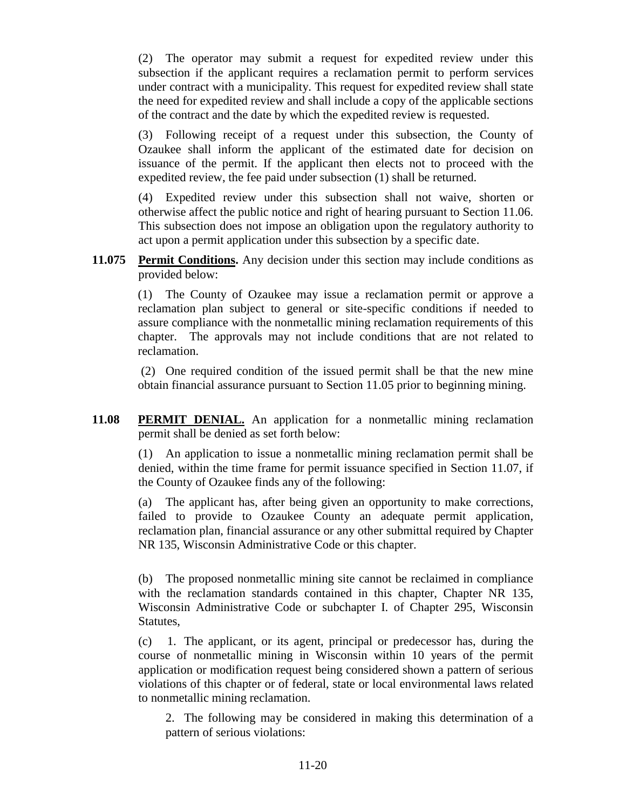(2) The operator may submit a request for expedited review under this subsection if the applicant requires a reclamation permit to perform services under contract with a municipality. This request for expedited review shall state the need for expedited review and shall include a copy of the applicable sections of the contract and the date by which the expedited review is requested.

(3) Following receipt of a request under this subsection, the County of Ozaukee shall inform the applicant of the estimated date for decision on issuance of the permit. If the applicant then elects not to proceed with the expedited review, the fee paid under subsection (1) shall be returned.

(4) Expedited review under this subsection shall not waive, shorten or otherwise affect the public notice and right of hearing pursuant to Section 11.06. This subsection does not impose an obligation upon the regulatory authority to act upon a permit application under this subsection by a specific date.

**11.075 Permit Conditions.** Any decision under this section may include conditions as provided below:

> (1) The County of Ozaukee may issue a reclamation permit or approve a reclamation plan subject to general or site-specific conditions if needed to assure compliance with the nonmetallic mining reclamation requirements of this chapter. The approvals may not include conditions that are not related to reclamation.

> (2) One required condition of the issued permit shall be that the new mine obtain financial assurance pursuant to Section 11.05 prior to beginning mining.

**11.08 PERMIT DENIAL.** An application for a nonmetallic mining reclamation permit shall be denied as set forth below:

> (1) An application to issue a nonmetallic mining reclamation permit shall be denied, within the time frame for permit issuance specified in Section 11.07, if the County of Ozaukee finds any of the following:

> (a) The applicant has, after being given an opportunity to make corrections, failed to provide to Ozaukee County an adequate permit application, reclamation plan, financial assurance or any other submittal required by Chapter NR 135, Wisconsin Administrative Code or this chapter.

> (b) The proposed nonmetallic mining site cannot be reclaimed in compliance with the reclamation standards contained in this chapter, Chapter NR 135, Wisconsin Administrative Code or subchapter I. of Chapter 295, Wisconsin Statutes,

> (c) 1. The applicant, or its agent, principal or predecessor has, during the course of nonmetallic mining in Wisconsin within 10 years of the permit application or modification request being considered shown a pattern of serious violations of this chapter or of federal, state or local environmental laws related to nonmetallic mining reclamation.

2. The following may be considered in making this determination of a pattern of serious violations: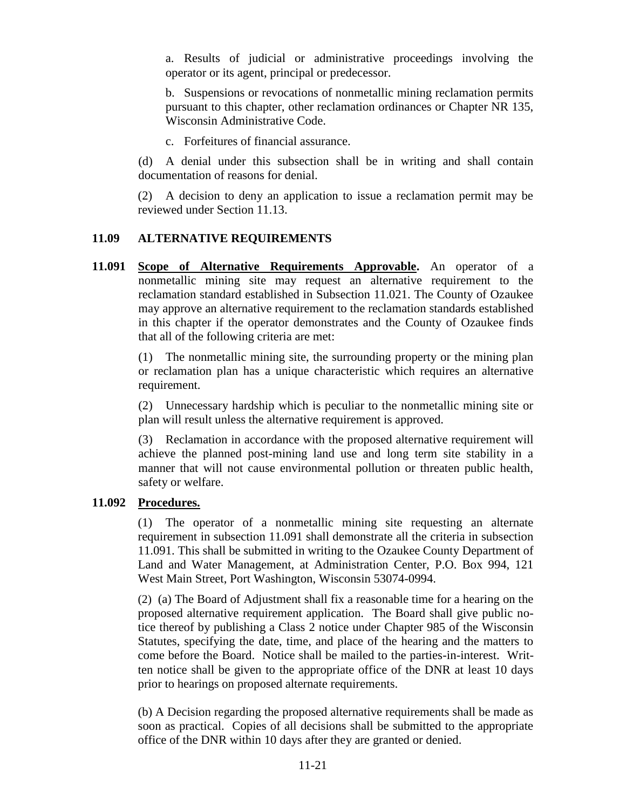a. Results of judicial or administrative proceedings involving the operator or its agent, principal or predecessor.

b. Suspensions or revocations of nonmetallic mining reclamation permits pursuant to this chapter, other reclamation ordinances or Chapter NR 135, Wisconsin Administrative Code.

c. Forfeitures of financial assurance.

(d) A denial under this subsection shall be in writing and shall contain documentation of reasons for denial.

(2) A decision to deny an application to issue a reclamation permit may be reviewed under Section 11.13.

## **11.09 ALTERNATIVE REQUIREMENTS**

**11.091 Scope of Alternative Requirements Approvable.** An operator of a nonmetallic mining site may request an alternative requirement to the reclamation standard established in Subsection 11.021. The County of Ozaukee may approve an alternative requirement to the reclamation standards established in this chapter if the operator demonstrates and the County of Ozaukee finds that all of the following criteria are met:

> (1) The nonmetallic mining site, the surrounding property or the mining plan or reclamation plan has a unique characteristic which requires an alternative requirement.

> (2) Unnecessary hardship which is peculiar to the nonmetallic mining site or plan will result unless the alternative requirement is approved.

> (3) Reclamation in accordance with the proposed alternative requirement will achieve the planned post-mining land use and long term site stability in a manner that will not cause environmental pollution or threaten public health, safety or welfare.

## **11.092 Procedures.**

(1) The operator of a nonmetallic mining site requesting an alternate requirement in subsection 11.091 shall demonstrate all the criteria in subsection 11.091. This shall be submitted in writing to the Ozaukee County Department of Land and Water Management, at Administration Center, P.O. Box 994, 121 West Main Street, Port Washington, Wisconsin 53074-0994.

(2) (a) The Board of Adjustment shall fix a reasonable time for a hearing on the proposed alternative requirement application. The Board shall give public notice thereof by publishing a Class 2 notice under Chapter 985 of the Wisconsin Statutes, specifying the date, time, and place of the hearing and the matters to come before the Board. Notice shall be mailed to the parties-in-interest. Written notice shall be given to the appropriate office of the DNR at least 10 days prior to hearings on proposed alternate requirements.

(b) A Decision regarding the proposed alternative requirements shall be made as soon as practical. Copies of all decisions shall be submitted to the appropriate office of the DNR within 10 days after they are granted or denied.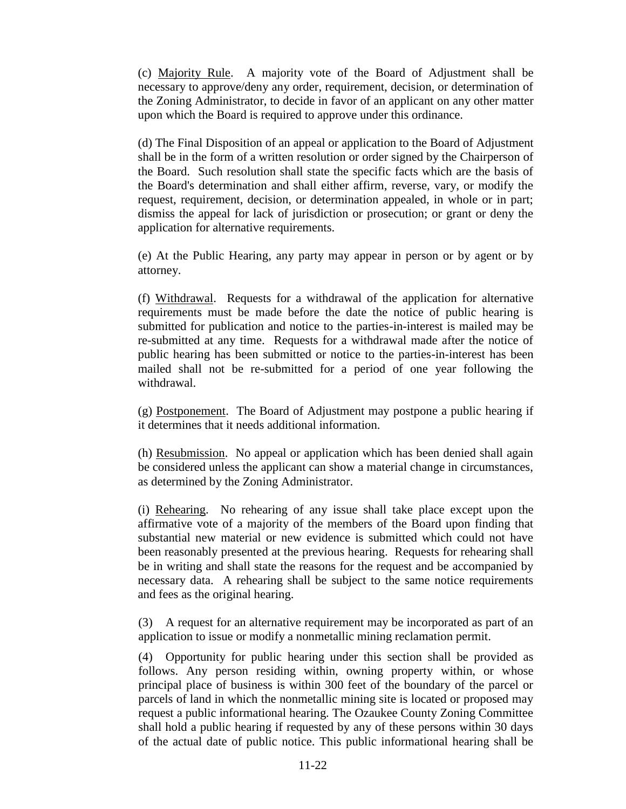(c) Majority Rule. A majority vote of the Board of Adjustment shall be necessary to approve/deny any order, requirement, decision, or determination of the Zoning Administrator, to decide in favor of an applicant on any other matter upon which the Board is required to approve under this ordinance.

(d) The Final Disposition of an appeal or application to the Board of Adjustment shall be in the form of a written resolution or order signed by the Chairperson of the Board. Such resolution shall state the specific facts which are the basis of the Board's determination and shall either affirm, reverse, vary, or modify the request, requirement, decision, or determination appealed, in whole or in part; dismiss the appeal for lack of jurisdiction or prosecution; or grant or deny the application for alternative requirements.

(e) At the Public Hearing, any party may appear in person or by agent or by attorney.

(f) Withdrawal. Requests for a withdrawal of the application for alternative requirements must be made before the date the notice of public hearing is submitted for publication and notice to the parties-in-interest is mailed may be re-submitted at any time. Requests for a withdrawal made after the notice of public hearing has been submitted or notice to the parties-in-interest has been mailed shall not be re-submitted for a period of one year following the withdrawal.

(g) Postponement. The Board of Adjustment may postpone a public hearing if it determines that it needs additional information.

(h) Resubmission. No appeal or application which has been denied shall again be considered unless the applicant can show a material change in circumstances, as determined by the Zoning Administrator.

(i) Rehearing. No rehearing of any issue shall take place except upon the affirmative vote of a majority of the members of the Board upon finding that substantial new material or new evidence is submitted which could not have been reasonably presented at the previous hearing. Requests for rehearing shall be in writing and shall state the reasons for the request and be accompanied by necessary data. A rehearing shall be subject to the same notice requirements and fees as the original hearing.

(3) A request for an alternative requirement may be incorporated as part of an application to issue or modify a nonmetallic mining reclamation permit.

(4) Opportunity for public hearing under this section shall be provided as follows. Any person residing within, owning property within, or whose principal place of business is within 300 feet of the boundary of the parcel or parcels of land in which the nonmetallic mining site is located or proposed may request a public informational hearing. The Ozaukee County Zoning Committee shall hold a public hearing if requested by any of these persons within 30 days of the actual date of public notice. This public informational hearing shall be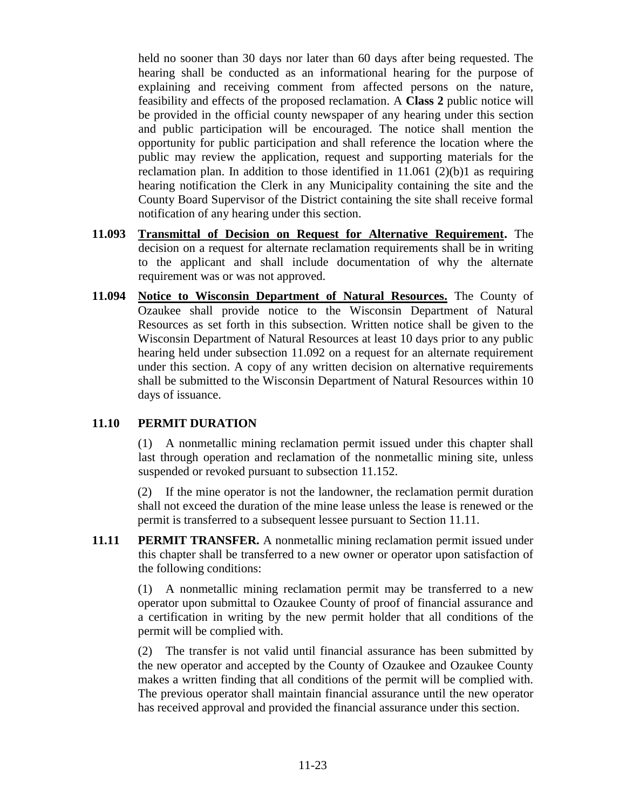held no sooner than 30 days nor later than 60 days after being requested. The hearing shall be conducted as an informational hearing for the purpose of explaining and receiving comment from affected persons on the nature, feasibility and effects of the proposed reclamation. A **Class 2** public notice will be provided in the official county newspaper of any hearing under this section and public participation will be encouraged. The notice shall mention the opportunity for public participation and shall reference the location where the public may review the application, request and supporting materials for the reclamation plan. In addition to those identified in  $11.061$  (2)(b)1 as requiring hearing notification the Clerk in any Municipality containing the site and the County Board Supervisor of the District containing the site shall receive formal notification of any hearing under this section.

- **11.093 Transmittal of Decision on Request for Alternative Requirement.** The decision on a request for alternate reclamation requirements shall be in writing to the applicant and shall include documentation of why the alternate requirement was or was not approved.
- **11.094 Notice to Wisconsin Department of Natural Resources.** The County of Ozaukee shall provide notice to the Wisconsin Department of Natural Resources as set forth in this subsection. Written notice shall be given to the Wisconsin Department of Natural Resources at least 10 days prior to any public hearing held under subsection 11.092 on a request for an alternate requirement under this section. A copy of any written decision on alternative requirements shall be submitted to the Wisconsin Department of Natural Resources within 10 days of issuance.

#### **11.10 PERMIT DURATION**

(1) A nonmetallic mining reclamation permit issued under this chapter shall last through operation and reclamation of the nonmetallic mining site, unless suspended or revoked pursuant to subsection 11.152.

(2) If the mine operator is not the landowner, the reclamation permit duration shall not exceed the duration of the mine lease unless the lease is renewed or the permit is transferred to a subsequent lessee pursuant to Section 11.11.

**11.11 PERMIT TRANSFER.** A nonmetallic mining reclamation permit issued under this chapter shall be transferred to a new owner or operator upon satisfaction of the following conditions:

> (1) A nonmetallic mining reclamation permit may be transferred to a new operator upon submittal to Ozaukee County of proof of financial assurance and a certification in writing by the new permit holder that all conditions of the permit will be complied with.

> (2) The transfer is not valid until financial assurance has been submitted by the new operator and accepted by the County of Ozaukee and Ozaukee County makes a written finding that all conditions of the permit will be complied with. The previous operator shall maintain financial assurance until the new operator has received approval and provided the financial assurance under this section.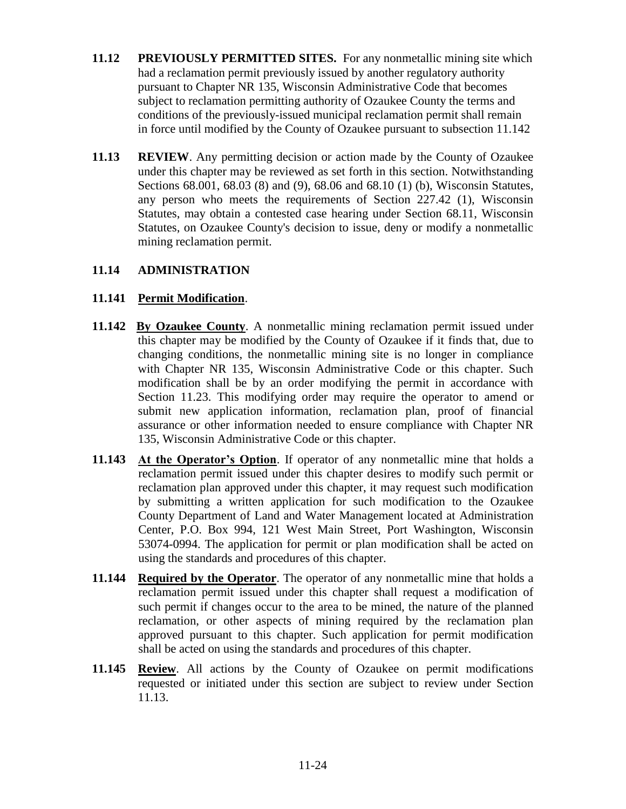- **11.12 PREVIOUSLY PERMITTED SITES.** For any nonmetallic mining site which had a reclamation permit previously issued by another regulatory authority pursuant to Chapter NR 135, Wisconsin Administrative Code that becomes subject to reclamation permitting authority of Ozaukee County the terms and conditions of the previously-issued municipal reclamation permit shall remain in force until modified by the County of Ozaukee pursuant to subsection 11.142
- **11.13 REVIEW**. Any permitting decision or action made by the County of Ozaukee under this chapter may be reviewed as set forth in this section. Notwithstanding Sections 68.001, 68.03 (8) and (9), 68.06 and 68.10 (1) (b), Wisconsin Statutes, any person who meets the requirements of Section 227.42 (1), Wisconsin Statutes, may obtain a contested case hearing under Section 68.11, Wisconsin Statutes, on Ozaukee County's decision to issue, deny or modify a nonmetallic mining reclamation permit.

### **11.14 ADMINISTRATION**

### **11.141 Permit Modification**.

- **11.142 By Ozaukee County**. A nonmetallic mining reclamation permit issued under this chapter may be modified by the County of Ozaukee if it finds that, due to changing conditions, the nonmetallic mining site is no longer in compliance with Chapter NR 135, Wisconsin Administrative Code or this chapter. Such modification shall be by an order modifying the permit in accordance with Section 11.23. This modifying order may require the operator to amend or submit new application information, reclamation plan, proof of financial assurance or other information needed to ensure compliance with Chapter NR 135, Wisconsin Administrative Code or this chapter.
- **11.143 At the Operator's Option**. If operator of any nonmetallic mine that holds a reclamation permit issued under this chapter desires to modify such permit or reclamation plan approved under this chapter, it may request such modification by submitting a written application for such modification to the Ozaukee County Department of Land and Water Management located at Administration Center, P.O. Box 994, 121 West Main Street, Port Washington, Wisconsin 53074-0994. The application for permit or plan modification shall be acted on using the standards and procedures of this chapter.
- **11.144 Required by the Operator**. The operator of any nonmetallic mine that holds a reclamation permit issued under this chapter shall request a modification of such permit if changes occur to the area to be mined, the nature of the planned reclamation, or other aspects of mining required by the reclamation plan approved pursuant to this chapter. Such application for permit modification shall be acted on using the standards and procedures of this chapter.
- **11.145 Review**. All actions by the County of Ozaukee on permit modifications requested or initiated under this section are subject to review under Section 11.13.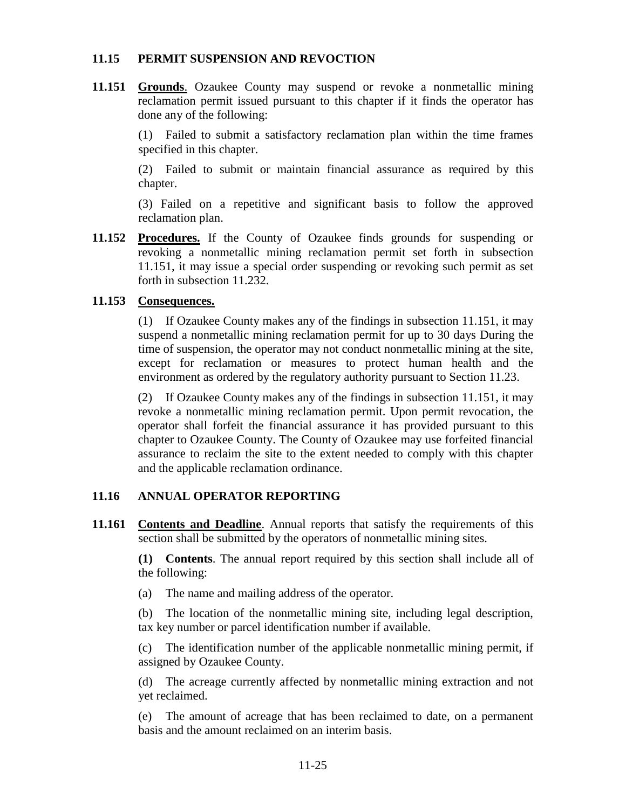#### **11.15 PERMIT SUSPENSION AND REVOCTION**

**11.151 Grounds**. Ozaukee County may suspend or revoke a nonmetallic mining reclamation permit issued pursuant to this chapter if it finds the operator has done any of the following:

> (1) Failed to submit a satisfactory reclamation plan within the time frames specified in this chapter.

> (2) Failed to submit or maintain financial assurance as required by this chapter.

> (3) Failed on a repetitive and significant basis to follow the approved reclamation plan.

**11.152 Procedures.** If the County of Ozaukee finds grounds for suspending or revoking a nonmetallic mining reclamation permit set forth in subsection 11.151, it may issue a special order suspending or revoking such permit as set forth in subsection 11.232.

### **11.153 Consequences.**

(1) If Ozaukee County makes any of the findings in subsection 11.151, it may suspend a nonmetallic mining reclamation permit for up to 30 days During the time of suspension, the operator may not conduct nonmetallic mining at the site, except for reclamation or measures to protect human health and the environment as ordered by the regulatory authority pursuant to Section 11.23.

(2) If Ozaukee County makes any of the findings in subsection 11.151, it may revoke a nonmetallic mining reclamation permit. Upon permit revocation, the operator shall forfeit the financial assurance it has provided pursuant to this chapter to Ozaukee County. The County of Ozaukee may use forfeited financial assurance to reclaim the site to the extent needed to comply with this chapter and the applicable reclamation ordinance.

## **11.16 ANNUAL OPERATOR REPORTING**

**11.161 Contents and Deadline**. Annual reports that satisfy the requirements of this section shall be submitted by the operators of nonmetallic mining sites.

> **(1) Contents**. The annual report required by this section shall include all of the following:

(a) The name and mailing address of the operator.

(b) The location of the nonmetallic mining site, including legal description, tax key number or parcel identification number if available.

(c) The identification number of the applicable nonmetallic mining permit, if assigned by Ozaukee County.

(d) The acreage currently affected by nonmetallic mining extraction and not yet reclaimed.

(e) The amount of acreage that has been reclaimed to date, on a permanent basis and the amount reclaimed on an interim basis.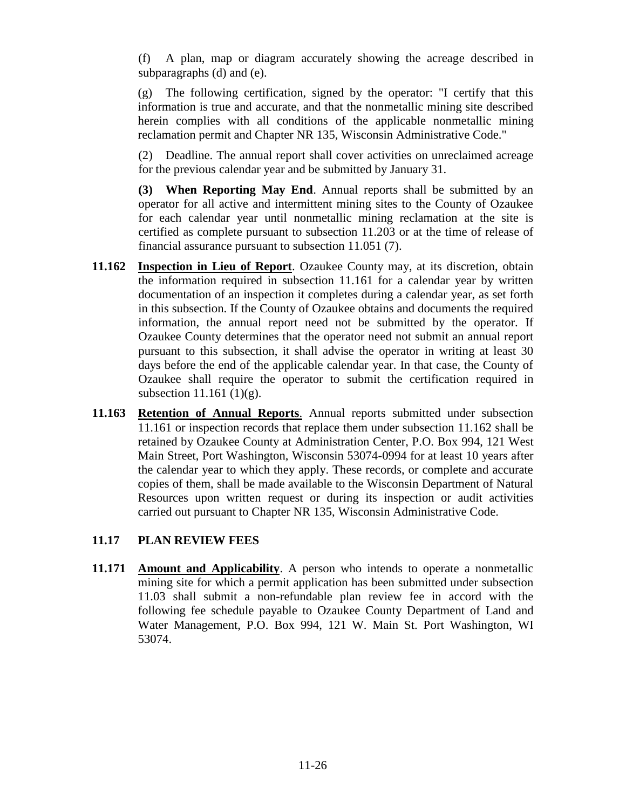(f) A plan, map or diagram accurately showing the acreage described in subparagraphs (d) and (e).

(g) The following certification, signed by the operator: "I certify that this information is true and accurate, and that the nonmetallic mining site described herein complies with all conditions of the applicable nonmetallic mining reclamation permit and Chapter NR 135, Wisconsin Administrative Code."

(2) Deadline. The annual report shall cover activities on unreclaimed acreage for the previous calendar year and be submitted by January 31.

**(3) When Reporting May End**. Annual reports shall be submitted by an operator for all active and intermittent mining sites to the County of Ozaukee for each calendar year until nonmetallic mining reclamation at the site is certified as complete pursuant to subsection 11.203 or at the time of release of financial assurance pursuant to subsection 11.051 (7).

- **11.162 Inspection in Lieu of Report**. Ozaukee County may, at its discretion, obtain the information required in subsection 11.161 for a calendar year by written documentation of an inspection it completes during a calendar year, as set forth in this subsection. If the County of Ozaukee obtains and documents the required information, the annual report need not be submitted by the operator. If Ozaukee County determines that the operator need not submit an annual report pursuant to this subsection, it shall advise the operator in writing at least 30 days before the end of the applicable calendar year. In that case, the County of Ozaukee shall require the operator to submit the certification required in subsection 11.161  $(1)(g)$ .
- **11.163 Retention of Annual Reports**. Annual reports submitted under subsection 11.161 or inspection records that replace them under subsection 11.162 shall be retained by Ozaukee County at Administration Center, P.O. Box 994, 121 West Main Street, Port Washington, Wisconsin 53074-0994 for at least 10 years after the calendar year to which they apply. These records, or complete and accurate copies of them, shall be made available to the Wisconsin Department of Natural Resources upon written request or during its inspection or audit activities carried out pursuant to Chapter NR 135, Wisconsin Administrative Code.

## **11.17 PLAN REVIEW FEES**

**11.171 Amount and Applicability**. A person who intends to operate a nonmetallic mining site for which a permit application has been submitted under subsection 11.03 shall submit a non-refundable plan review fee in accord with the following fee schedule payable to Ozaukee County Department of Land and Water Management, P.O. Box 994, 121 W. Main St. Port Washington, WI 53074.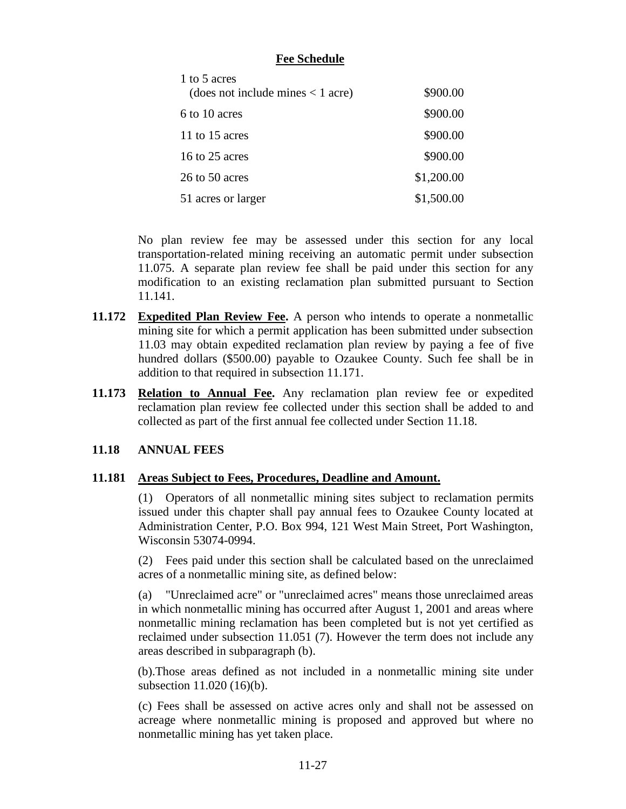## **Fee Schedule**

| 1 to 5 acres<br>(does not include mines $<$ 1 acre) | \$900.00   |
|-----------------------------------------------------|------------|
| 6 to 10 acres                                       | \$900.00   |
| 11 to 15 acres                                      | \$900.00   |
| 16 to 25 acres                                      | \$900.00   |
| 26 to 50 acres                                      | \$1,200.00 |
| 51 acres or larger                                  | \$1,500.00 |

No plan review fee may be assessed under this section for any local transportation-related mining receiving an automatic permit under subsection 11.075. A separate plan review fee shall be paid under this section for any modification to an existing reclamation plan submitted pursuant to Section 11.141.

- **11.172 Expedited Plan Review Fee.** A person who intends to operate a nonmetallic mining site for which a permit application has been submitted under subsection 11.03 may obtain expedited reclamation plan review by paying a fee of five hundred dollars (\$500.00) payable to Ozaukee County. Such fee shall be in addition to that required in subsection 11.171.
- **11.173 Relation to Annual Fee.** Any reclamation plan review fee or expedited reclamation plan review fee collected under this section shall be added to and collected as part of the first annual fee collected under Section 11.18.

## **11.18 ANNUAL FEES**

#### **11.181 Areas Subject to Fees, Procedures, Deadline and Amount.**

(1) Operators of all nonmetallic mining sites subject to reclamation permits issued under this chapter shall pay annual fees to Ozaukee County located at Administration Center, P.O. Box 994, 121 West Main Street, Port Washington, Wisconsin 53074-0994.

(2) Fees paid under this section shall be calculated based on the unreclaimed acres of a nonmetallic mining site, as defined below:

(a) "Unreclaimed acre" or "unreclaimed acres" means those unreclaimed areas in which nonmetallic mining has occurred after August 1, 2001 and areas where nonmetallic mining reclamation has been completed but is not yet certified as reclaimed under subsection 11.051 (7). However the term does not include any areas described in subparagraph (b).

 (b).Those areas defined as not included in a nonmetallic mining site under subsection 11.020 (16)(b).

(c) Fees shall be assessed on active acres only and shall not be assessed on acreage where nonmetallic mining is proposed and approved but where no nonmetallic mining has yet taken place.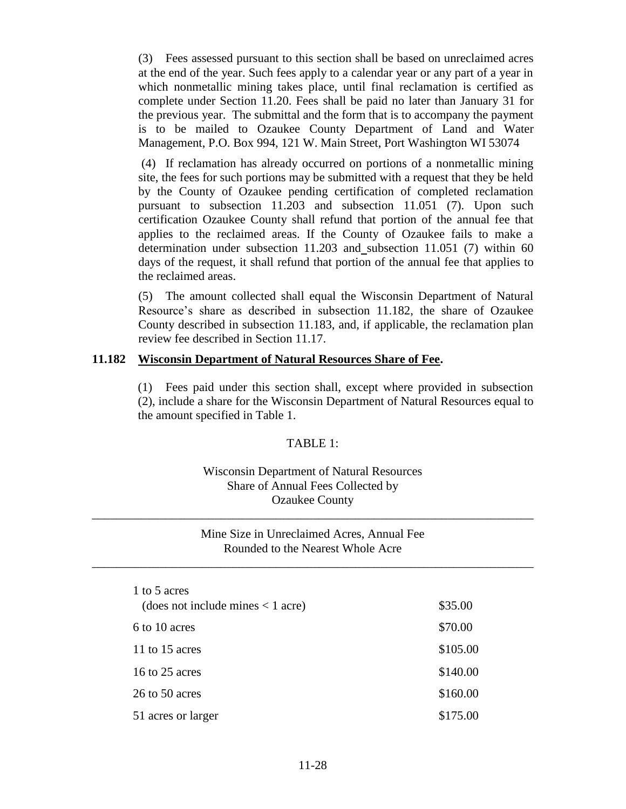(3) Fees assessed pursuant to this section shall be based on unreclaimed acres at the end of the year. Such fees apply to a calendar year or any part of a year in which nonmetallic mining takes place, until final reclamation is certified as complete under Section 11.20. Fees shall be paid no later than January 31 for the previous year. The submittal and the form that is to accompany the payment is to be mailed to Ozaukee County Department of Land and Water Management, P.O. Box 994, 121 W. Main Street, Port Washington WI 53074

(4) If reclamation has already occurred on portions of a nonmetallic mining site, the fees for such portions may be submitted with a request that they be held by the County of Ozaukee pending certification of completed reclamation pursuant to subsection 11.203 and subsection 11.051 (7). Upon such certification Ozaukee County shall refund that portion of the annual fee that applies to the reclaimed areas. If the County of Ozaukee fails to make a determination under subsection 11.203 and subsection 11.051 (7) within 60 days of the request, it shall refund that portion of the annual fee that applies to the reclaimed areas.

(5) The amount collected shall equal the Wisconsin Department of Natural Resource's share as described in subsection 11.182, the share of Ozaukee County described in subsection 11.183, and, if applicable, the reclamation plan review fee described in Section 11.17.

#### **11.182 Wisconsin Department of Natural Resources Share of Fee.**

(1) Fees paid under this section shall, except where provided in subsection (2), include a share for the Wisconsin Department of Natural Resources equal to the amount specified in Table 1.

#### TABLE 1:

### Wisconsin Department of Natural Resources Share of Annual Fees Collected by Ozaukee County

\_\_\_\_\_\_\_\_\_\_\_\_\_\_\_\_\_\_\_\_\_\_\_\_\_\_\_\_\_\_\_\_\_\_\_\_\_\_\_\_\_\_\_\_\_\_\_\_\_\_\_\_\_\_\_\_\_\_\_\_\_\_\_\_\_\_\_\_\_\_\_\_

#### Mine Size in Unreclaimed Acres, Annual Fee Rounded to the Nearest Whole Acre

\_\_\_\_\_\_\_\_\_\_\_\_\_\_\_\_\_\_\_\_\_\_\_\_\_\_\_\_\_\_\_\_\_\_\_\_\_\_\_\_\_\_\_\_\_\_\_\_\_\_\_\_\_\_\_\_\_\_\_\_\_\_\_\_\_\_\_\_\_\_\_\_

| 1 to 5 acres                        |          |
|-------------------------------------|----------|
| (does not include mines $< 1$ acre) | \$35.00  |
| 6 to 10 acres                       | \$70.00  |
| 11 to 15 acres                      | \$105.00 |
| 16 to 25 acres                      | \$140.00 |
| 26 to 50 acres                      | \$160.00 |
| 51 acres or larger                  | \$175.00 |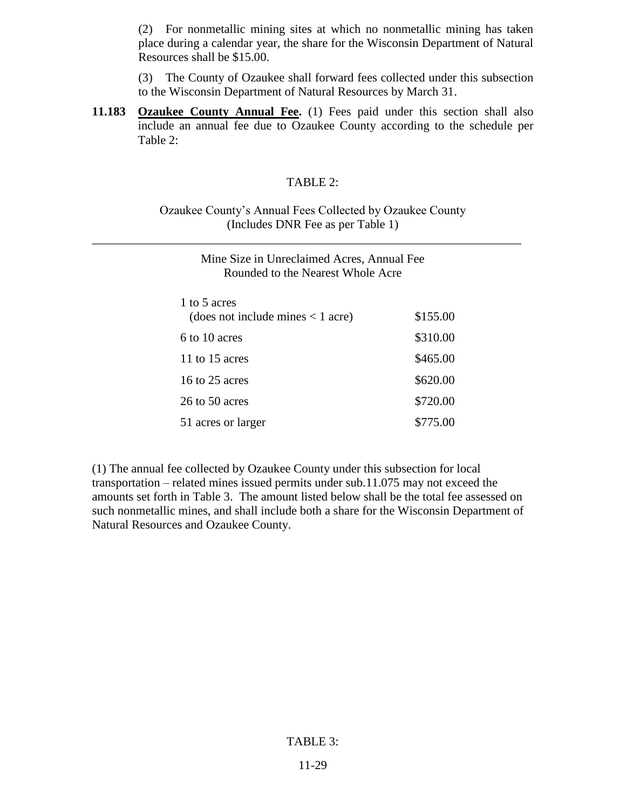(2) For nonmetallic mining sites at which no nonmetallic mining has taken place during a calendar year, the share for the Wisconsin Department of Natural Resources shall be \$15.00.

(3) The County of Ozaukee shall forward fees collected under this subsection to the Wisconsin Department of Natural Resources by March 31.

**11.183 Ozaukee County Annual Fee.** (1) Fees paid under this section shall also include an annual fee due to Ozaukee County according to the schedule per Table 2:

#### TABLE 2:

#### Ozaukee County's Annual Fees Collected by Ozaukee County (Includes DNR Fee as per Table 1)

\_\_\_\_\_\_\_\_\_\_\_\_\_\_\_\_\_\_\_\_\_\_\_\_\_\_\_\_\_\_\_\_\_\_\_\_\_\_\_\_\_\_\_\_\_\_\_\_\_\_\_\_\_\_\_\_\_\_\_\_\_\_\_\_\_\_\_\_\_\_

| Mine Size in Unreclaimed Acres, Annual Fee<br>Rounded to the Nearest Whole Acre |          |  |
|---------------------------------------------------------------------------------|----------|--|
| 1 to 5 acres<br>(does not include mines $<$ 1 acre)                             | \$155.00 |  |
| 6 to 10 acres                                                                   | \$310.00 |  |
| 11 to 15 acres                                                                  | \$465.00 |  |
| 16 to 25 acres                                                                  | \$620.00 |  |
| 26 to 50 acres                                                                  | \$720.00 |  |
| 51 acres or larger                                                              | \$775.00 |  |

(1) The annual fee collected by Ozaukee County under this subsection for local transportation – related mines issued permits under sub.11.075 may not exceed the amounts set forth in Table 3. The amount listed below shall be the total fee assessed on such nonmetallic mines, and shall include both a share for the Wisconsin Department of Natural Resources and Ozaukee County.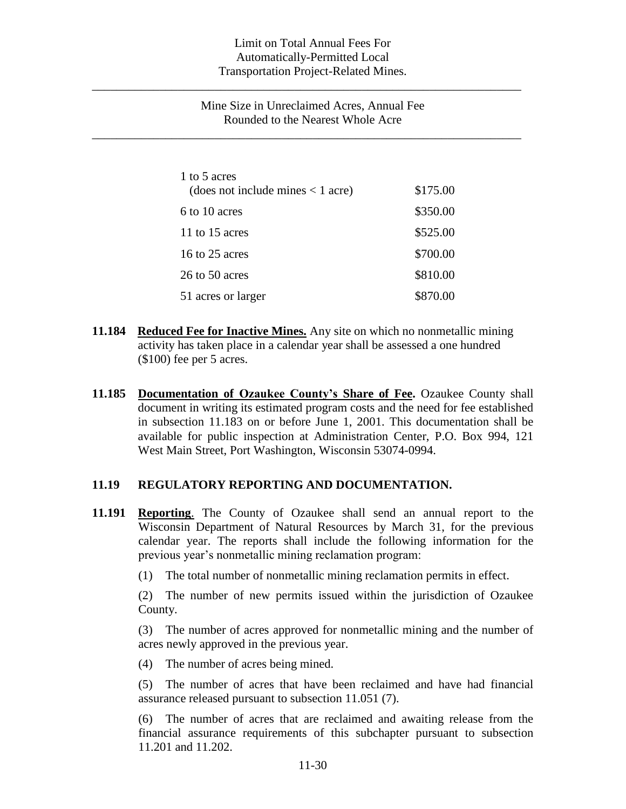\_\_\_\_\_\_\_\_\_\_\_\_\_\_\_\_\_\_\_\_\_\_\_\_\_\_\_\_\_\_\_\_\_\_\_\_\_\_\_\_\_\_\_\_\_\_\_\_\_\_\_\_\_\_\_\_\_\_\_\_\_\_\_\_\_\_\_\_\_\_

\_\_\_\_\_\_\_\_\_\_\_\_\_\_\_\_\_\_\_\_\_\_\_\_\_\_\_\_\_\_\_\_\_\_\_\_\_\_\_\_\_\_\_\_\_\_\_\_\_\_\_\_\_\_\_\_\_\_\_\_\_\_\_\_\_\_\_\_\_\_

### Mine Size in Unreclaimed Acres, Annual Fee Rounded to the Nearest Whole Acre

| 1 to 5 acres<br>(does not include mines < 1 acre) | \$175.00 |
|---------------------------------------------------|----------|
| 6 to 10 acres                                     | \$350.00 |
| 11 to 15 acres                                    | \$525.00 |
| 16 to 25 acres                                    | \$700.00 |
| 26 to 50 acres                                    | \$810.00 |
| 51 acres or larger                                | \$870.00 |

- **11.184 Reduced Fee for Inactive Mines.** Any site on which no nonmetallic mining activity has taken place in a calendar year shall be assessed a one hundred (\$100) fee per 5 acres.
- **11.185 Documentation of Ozaukee County's Share of Fee.** Ozaukee County shall document in writing its estimated program costs and the need for fee established in subsection 11.183 on or before June 1, 2001. This documentation shall be available for public inspection at Administration Center, P.O. Box 994, 121 West Main Street, Port Washington, Wisconsin 53074-0994.

#### **11.19 REGULATORY REPORTING AND DOCUMENTATION.**

- **11.191 Reporting**. The County of Ozaukee shall send an annual report to the Wisconsin Department of Natural Resources by March 31, for the previous calendar year. The reports shall include the following information for the previous year's nonmetallic mining reclamation program:
	- (1) The total number of nonmetallic mining reclamation permits in effect.

(2) The number of new permits issued within the jurisdiction of Ozaukee County.

(3) The number of acres approved for nonmetallic mining and the number of acres newly approved in the previous year.

(4) The number of acres being mined.

(5) The number of acres that have been reclaimed and have had financial assurance released pursuant to subsection 11.051 (7).

(6) The number of acres that are reclaimed and awaiting release from the financial assurance requirements of this subchapter pursuant to subsection 11.201 and 11.202.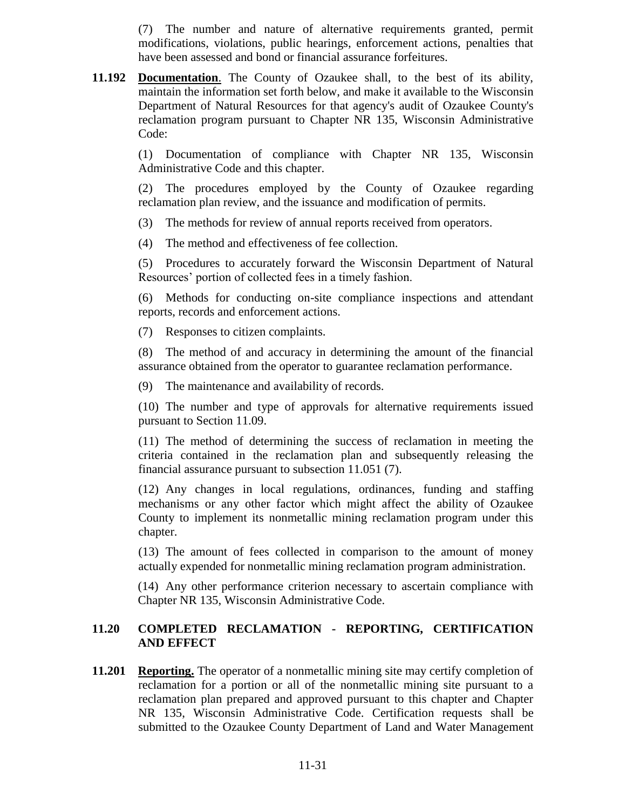(7) The number and nature of alternative requirements granted, permit modifications, violations, public hearings, enforcement actions, penalties that have been assessed and bond or financial assurance forfeitures.

**11.192 Documentation**. The County of Ozaukee shall, to the best of its ability, maintain the information set forth below, and make it available to the Wisconsin Department of Natural Resources for that agency's audit of Ozaukee County's reclamation program pursuant to Chapter NR 135, Wisconsin Administrative Code:

> (1) Documentation of compliance with Chapter NR 135, Wisconsin Administrative Code and this chapter.

> (2) The procedures employed by the County of Ozaukee regarding reclamation plan review, and the issuance and modification of permits.

(3) The methods for review of annual reports received from operators.

(4) The method and effectiveness of fee collection.

(5) Procedures to accurately forward the Wisconsin Department of Natural Resources' portion of collected fees in a timely fashion.

(6) Methods for conducting on-site compliance inspections and attendant reports, records and enforcement actions.

(7) Responses to citizen complaints.

(8) The method of and accuracy in determining the amount of the financial assurance obtained from the operator to guarantee reclamation performance.

(9) The maintenance and availability of records.

(10) The number and type of approvals for alternative requirements issued pursuant to Section 11.09.

(11) The method of determining the success of reclamation in meeting the criteria contained in the reclamation plan and subsequently releasing the financial assurance pursuant to subsection 11.051 (7).

(12) Any changes in local regulations, ordinances, funding and staffing mechanisms or any other factor which might affect the ability of Ozaukee County to implement its nonmetallic mining reclamation program under this chapter.

(13) The amount of fees collected in comparison to the amount of money actually expended for nonmetallic mining reclamation program administration.

(14) Any other performance criterion necessary to ascertain compliance with Chapter NR 135, Wisconsin Administrative Code.

## **11.20 COMPLETED RECLAMATION - REPORTING, CERTIFICATION AND EFFECT**

**11.201 Reporting.** The operator of a nonmetallic mining site may certify completion of reclamation for a portion or all of the nonmetallic mining site pursuant to a reclamation plan prepared and approved pursuant to this chapter and Chapter NR 135, Wisconsin Administrative Code. Certification requests shall be submitted to the Ozaukee County Department of Land and Water Management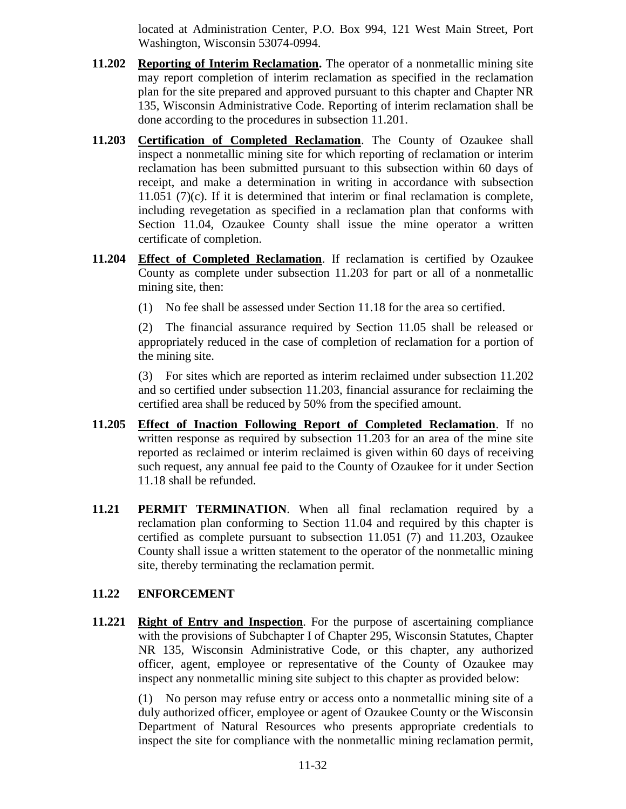located at Administration Center, P.O. Box 994, 121 West Main Street, Port Washington, Wisconsin 53074-0994.

- **11.202 Reporting of Interim Reclamation.** The operator of a nonmetallic mining site may report completion of interim reclamation as specified in the reclamation plan for the site prepared and approved pursuant to this chapter and Chapter NR 135, Wisconsin Administrative Code. Reporting of interim reclamation shall be done according to the procedures in subsection 11.201.
- **11.203 Certification of Completed Reclamation**. The County of Ozaukee shall inspect a nonmetallic mining site for which reporting of reclamation or interim reclamation has been submitted pursuant to this subsection within 60 days of receipt, and make a determination in writing in accordance with subsection 11.051 (7)(c). If it is determined that interim or final reclamation is complete, including revegetation as specified in a reclamation plan that conforms with Section 11.04, Ozaukee County shall issue the mine operator a written certificate of completion.
- **11.204 Effect of Completed Reclamation**. If reclamation is certified by Ozaukee County as complete under subsection 11.203 for part or all of a nonmetallic mining site, then:
	- (1) No fee shall be assessed under Section 11.18 for the area so certified.

(2) The financial assurance required by Section 11.05 shall be released or appropriately reduced in the case of completion of reclamation for a portion of the mining site.

(3) For sites which are reported as interim reclaimed under subsection 11.202 and so certified under subsection 11.203, financial assurance for reclaiming the certified area shall be reduced by 50% from the specified amount.

- **11.205 Effect of Inaction Following Report of Completed Reclamation**. If no written response as required by subsection 11.203 for an area of the mine site reported as reclaimed or interim reclaimed is given within 60 days of receiving such request, any annual fee paid to the County of Ozaukee for it under Section 11.18 shall be refunded.
- **11.21 PERMIT TERMINATION**. When all final reclamation required by a reclamation plan conforming to Section 11.04 and required by this chapter is certified as complete pursuant to subsection 11.051 (7) and 11.203, Ozaukee County shall issue a written statement to the operator of the nonmetallic mining site, thereby terminating the reclamation permit.

## **11.22 ENFORCEMENT**

**11.221 Right of Entry and Inspection**. For the purpose of ascertaining compliance with the provisions of Subchapter I of Chapter 295, Wisconsin Statutes, Chapter NR 135, Wisconsin Administrative Code, or this chapter, any authorized officer, agent, employee or representative of the County of Ozaukee may inspect any nonmetallic mining site subject to this chapter as provided below:

> (1) No person may refuse entry or access onto a nonmetallic mining site of a duly authorized officer, employee or agent of Ozaukee County or the Wisconsin Department of Natural Resources who presents appropriate credentials to inspect the site for compliance with the nonmetallic mining reclamation permit,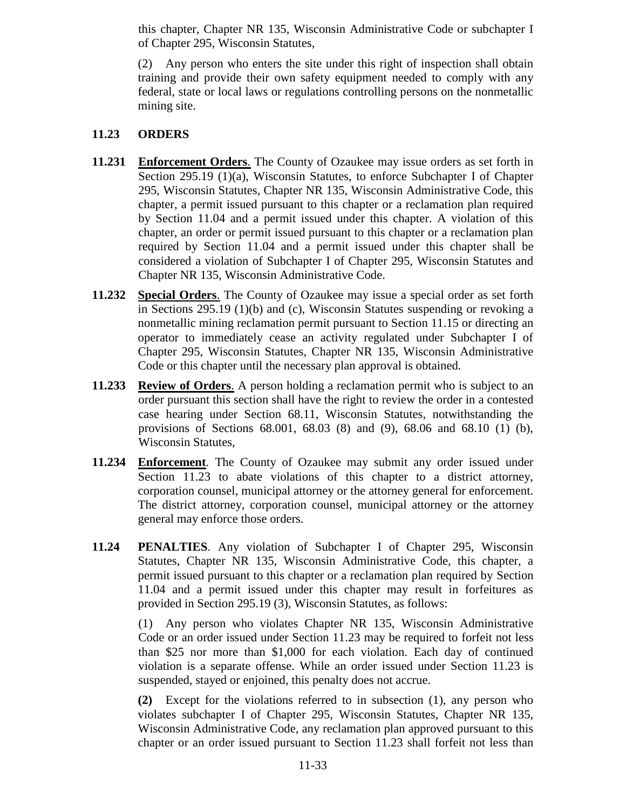this chapter, Chapter NR 135, Wisconsin Administrative Code or subchapter I of Chapter 295, Wisconsin Statutes,

(2) Any person who enters the site under this right of inspection shall obtain training and provide their own safety equipment needed to comply with any federal, state or local laws or regulations controlling persons on the nonmetallic mining site.

## **11.23 ORDERS**

- **11.231 Enforcement Orders**. The County of Ozaukee may issue orders as set forth in Section 295.19 (1)(a), Wisconsin Statutes, to enforce Subchapter I of Chapter 295, Wisconsin Statutes, Chapter NR 135, Wisconsin Administrative Code, this chapter, a permit issued pursuant to this chapter or a reclamation plan required by Section 11.04 and a permit issued under this chapter. A violation of this chapter, an order or permit issued pursuant to this chapter or a reclamation plan required by Section 11.04 and a permit issued under this chapter shall be considered a violation of Subchapter I of Chapter 295, Wisconsin Statutes and Chapter NR 135, Wisconsin Administrative Code.
- **11.232 Special Orders**. The County of Ozaukee may issue a special order as set forth in Sections 295.19 (1)(b) and (c), Wisconsin Statutes suspending or revoking a nonmetallic mining reclamation permit pursuant to Section 11.15 or directing an operator to immediately cease an activity regulated under Subchapter I of Chapter 295, Wisconsin Statutes, Chapter NR 135, Wisconsin Administrative Code or this chapter until the necessary plan approval is obtained.
- **11.233 Review of Orders**. A person holding a reclamation permit who is subject to an order pursuant this section shall have the right to review the order in a contested case hearing under Section 68.11, Wisconsin Statutes, notwithstanding the provisions of Sections 68.001, 68.03 (8) and (9), 68.06 and 68.10 (1) (b), Wisconsin Statutes,
- **11.234 Enforcement**. The County of Ozaukee may submit any order issued under Section 11.23 to abate violations of this chapter to a district attorney, corporation counsel, municipal attorney or the attorney general for enforcement. The district attorney, corporation counsel, municipal attorney or the attorney general may enforce those orders.
- **11.24 PENALTIES**. Any violation of Subchapter I of Chapter 295, Wisconsin Statutes, Chapter NR 135, Wisconsin Administrative Code, this chapter, a permit issued pursuant to this chapter or a reclamation plan required by Section 11.04 and a permit issued under this chapter may result in forfeitures as provided in Section 295.19 (3), Wisconsin Statutes, as follows:

(1) Any person who violates Chapter NR 135, Wisconsin Administrative Code or an order issued under Section 11.23 may be required to forfeit not less than \$25 nor more than \$1,000 for each violation. Each day of continued violation is a separate offense. While an order issued under Section 11.23 is suspended, stayed or enjoined, this penalty does not accrue.

**(2)** Except for the violations referred to in subsection (1), any person who violates subchapter I of Chapter 295, Wisconsin Statutes, Chapter NR 135, Wisconsin Administrative Code, any reclamation plan approved pursuant to this chapter or an order issued pursuant to Section 11.23 shall forfeit not less than